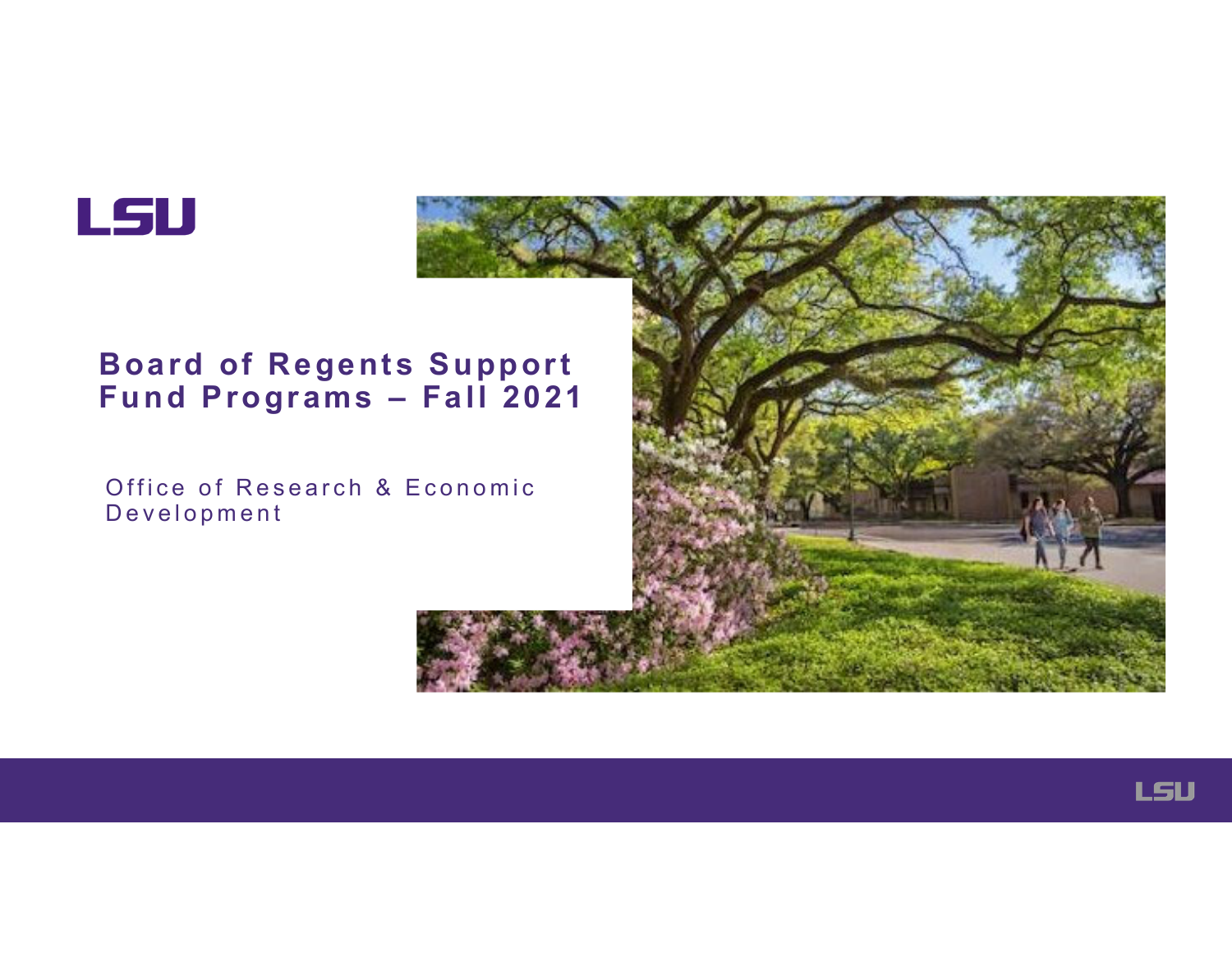

#### **Board of Regents Support Fund Programs – Fall 2021**

Office of Research & Economic Development



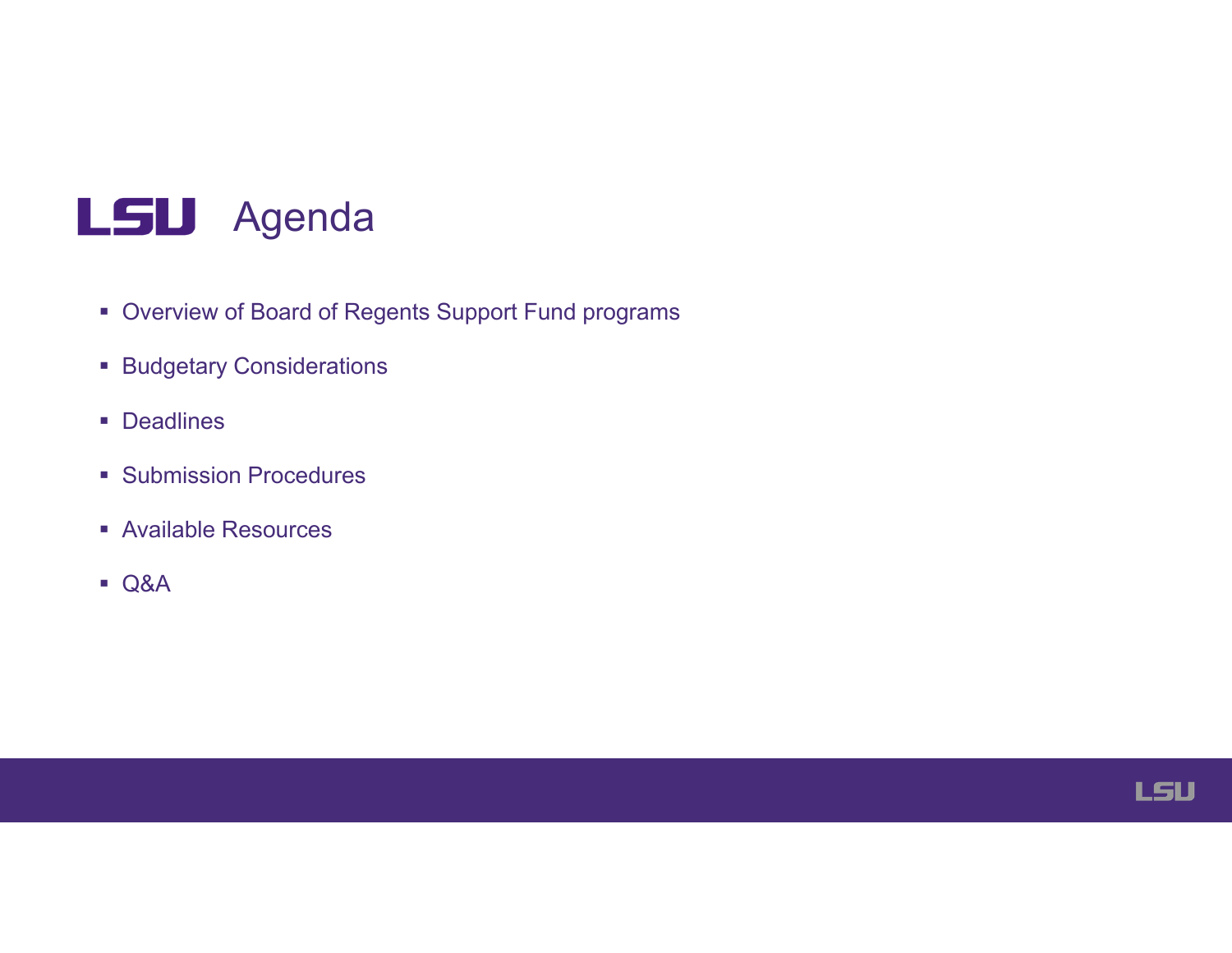

- Overview of Board of Regents Support Fund programs
- Budgetary Considerations
- Deadlines
- **Submission Procedures**
- Available Resources
- Q&A

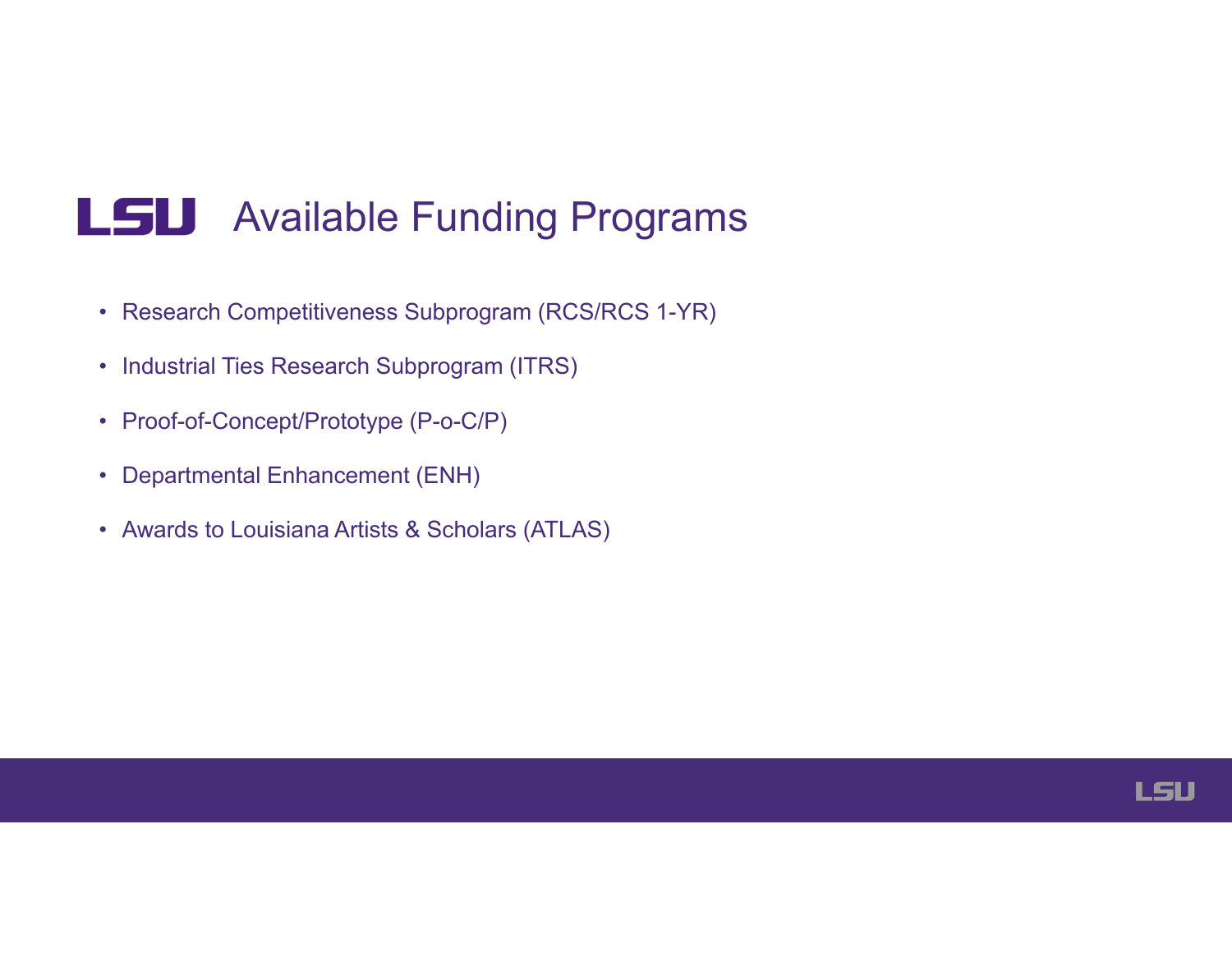### LSU Available Funding Programs

- Research Competitiveness Subprogram (RCS/RCS 1-YR)
- Industrial Ties Research Subprogram (ITRS)
- Proof-of-Concept/Prototype (P-o-C/P)
- Departmental Enhancement (ENH)
- Awards to Louisiana Artists & Scholars (ATLAS)

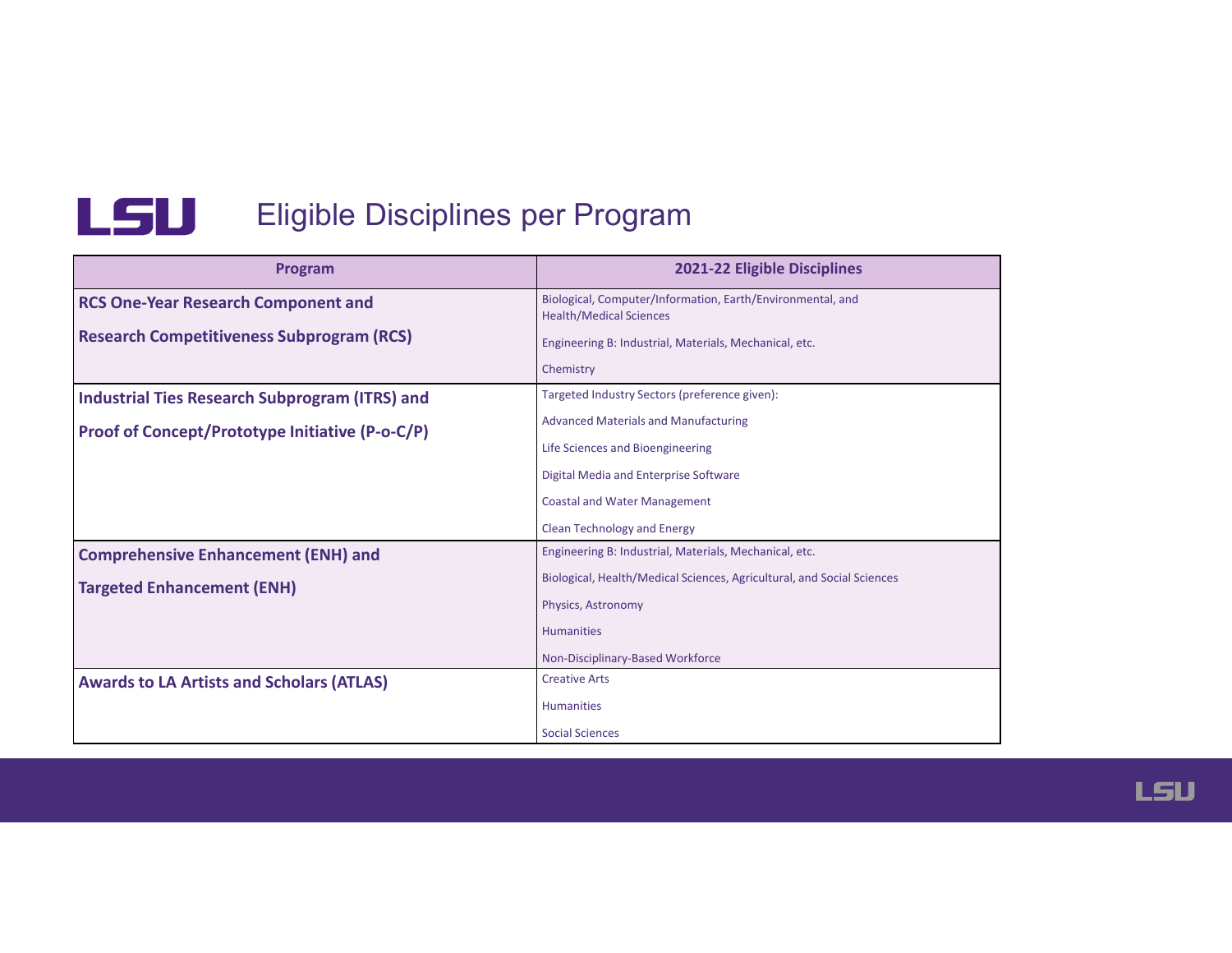

### L5U Eligible Disciplines per Program

| Program                                               | 2021-22 Eligible Disciplines                                                                 |  |
|-------------------------------------------------------|----------------------------------------------------------------------------------------------|--|
| <b>RCS One-Year Research Component and</b>            | Biological, Computer/Information, Earth/Environmental, and<br><b>Health/Medical Sciences</b> |  |
| <b>Research Competitiveness Subprogram (RCS)</b>      | Engineering B: Industrial, Materials, Mechanical, etc.                                       |  |
|                                                       | Chemistry                                                                                    |  |
| <b>Industrial Ties Research Subprogram (ITRS) and</b> | Targeted Industry Sectors (preference given):                                                |  |
| Proof of Concept/Prototype Initiative (P-o-C/P)       | <b>Advanced Materials and Manufacturing</b>                                                  |  |
|                                                       | Life Sciences and Bioengineering                                                             |  |
|                                                       | Digital Media and Enterprise Software                                                        |  |
|                                                       | <b>Coastal and Water Management</b>                                                          |  |
|                                                       | <b>Clean Technology and Energy</b>                                                           |  |
| <b>Comprehensive Enhancement (ENH) and</b>            | Engineering B: Industrial, Materials, Mechanical, etc.                                       |  |
| <b>Targeted Enhancement (ENH)</b>                     | Biological, Health/Medical Sciences, Agricultural, and Social Sciences                       |  |
|                                                       | Physics, Astronomy                                                                           |  |
|                                                       | <b>Humanities</b>                                                                            |  |
|                                                       | Non-Disciplinary-Based Workforce                                                             |  |
| <b>Awards to LA Artists and Scholars (ATLAS)</b>      | <b>Creative Arts</b>                                                                         |  |
|                                                       | <b>Humanities</b>                                                                            |  |
|                                                       | <b>Social Sciences</b>                                                                       |  |

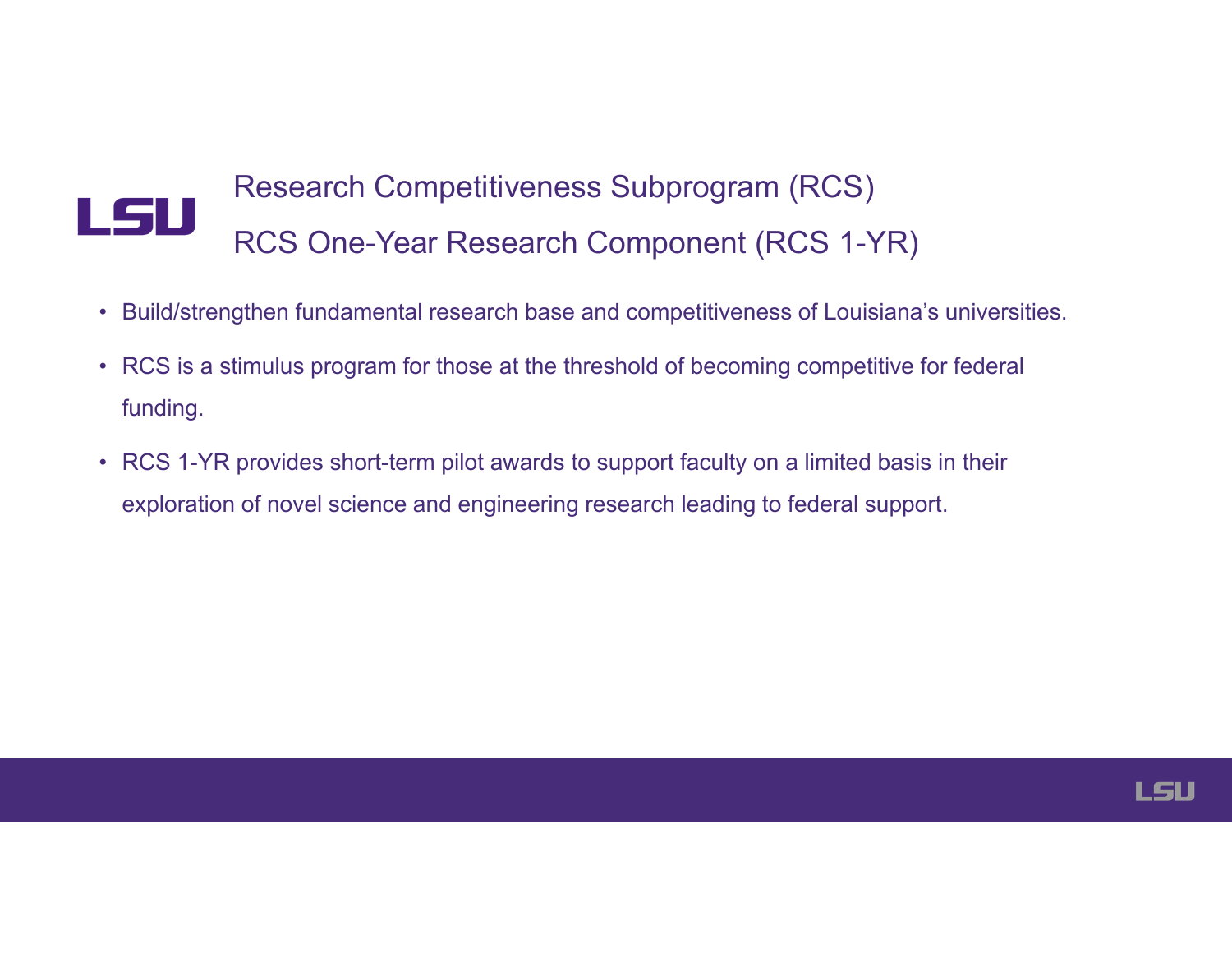# Research Competitiveness Subprogram (RCS)<br>RCS One-Year Research Component (RCS 1-YR)

- Build/strengthen fundamental research base and competitiveness of Louisiana's universities.
- RCS is a stimulus program for those at the threshold of becoming competitive for federal funding.
- RCS 1-YR provides short-term pilot awards to support faculty on a limited basis in their exploration of novel science and engineering research leading to federal support.

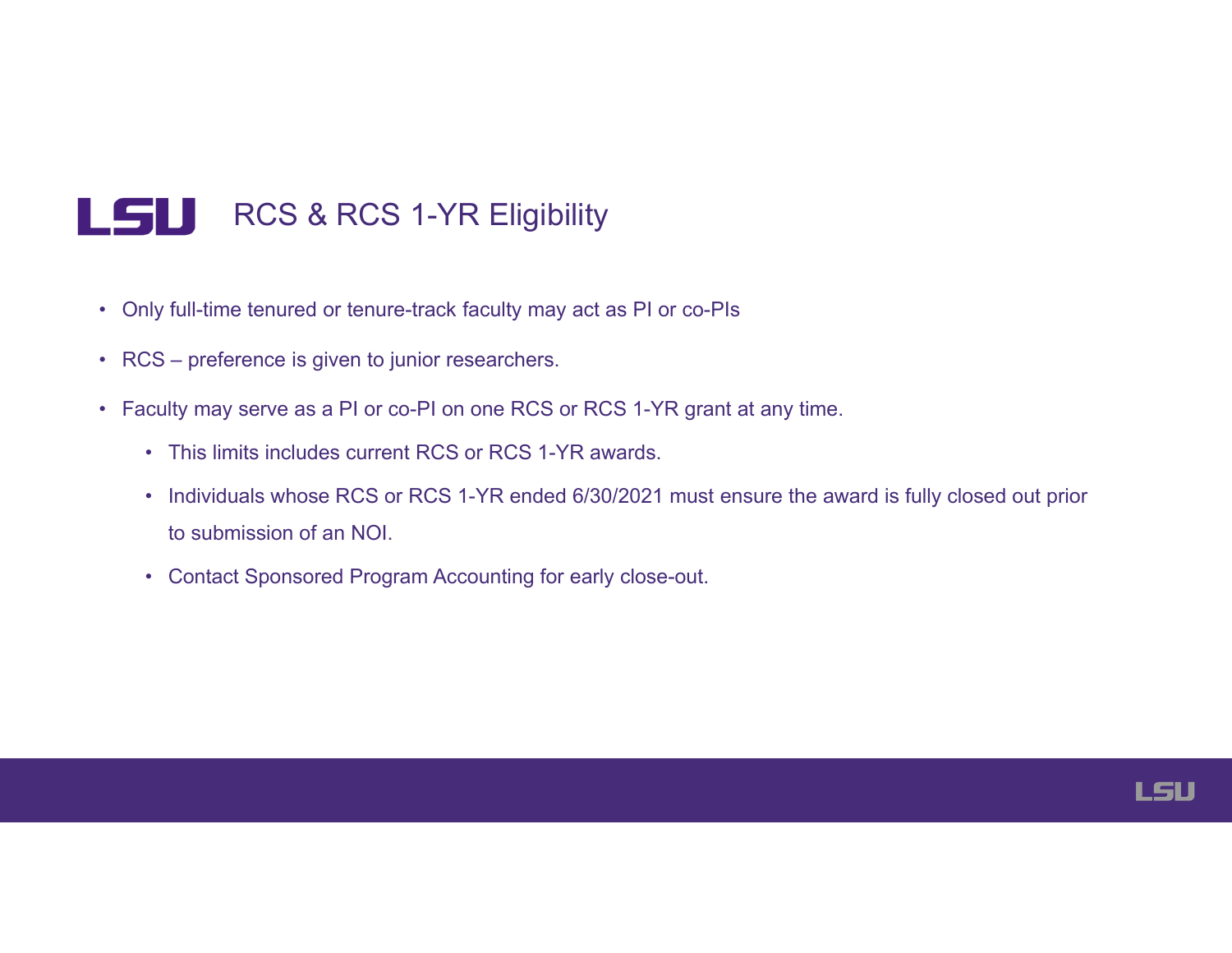#### LSU RCS & RCS 1-YR Eligibility

- Only full-time tenured or tenure-track faculty may act as PI or co-PIs
- RCS preference is given to junior researchers.
- Faculty may serve as a PI or co-PI on one RCS or RCS 1-YR grant at any time.
	- This limits includes current RCS or RCS 1-YR awards.
	- Individuals whose RCS or RCS 1-YR ended 6/30/2021 must ensure the award is fully closed out prior to submission of an NOI.
	- Contact Sponsored Program Accounting for early close-out.

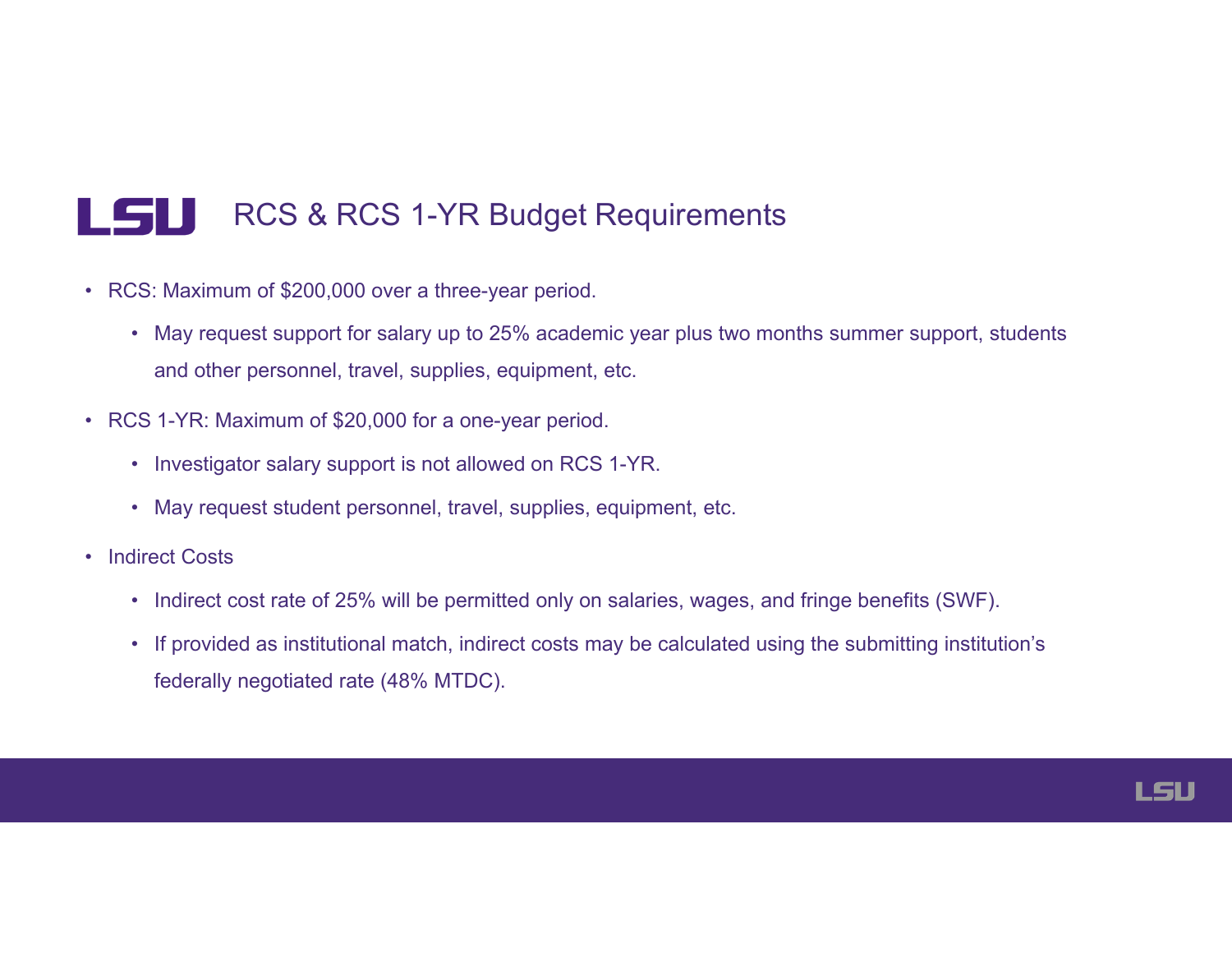#### LSU RCS & RCS 1-YR Budget Requirements

- RCS: Maximum of \$200,000 over a three-year period.
	- May request support for salary up to 25% academic year plus two months summer support, students and other personnel, travel, supplies, equipment, etc.
- RCS 1-YR: Maximum of \$20,000 for a one-year period.
	- Investigator salary support is not allowed on RCS 1-YR.
	- May request student personnel, travel, supplies, equipment, etc.
- Indirect Costs
	- Indirect cost rate of 25% will be permitted only on salaries, wages, and fringe benefits (SWF).
	- If provided as institutional match, indirect costs may be calculated using the submitting institution's federally negotiated rate (48% MTDC).

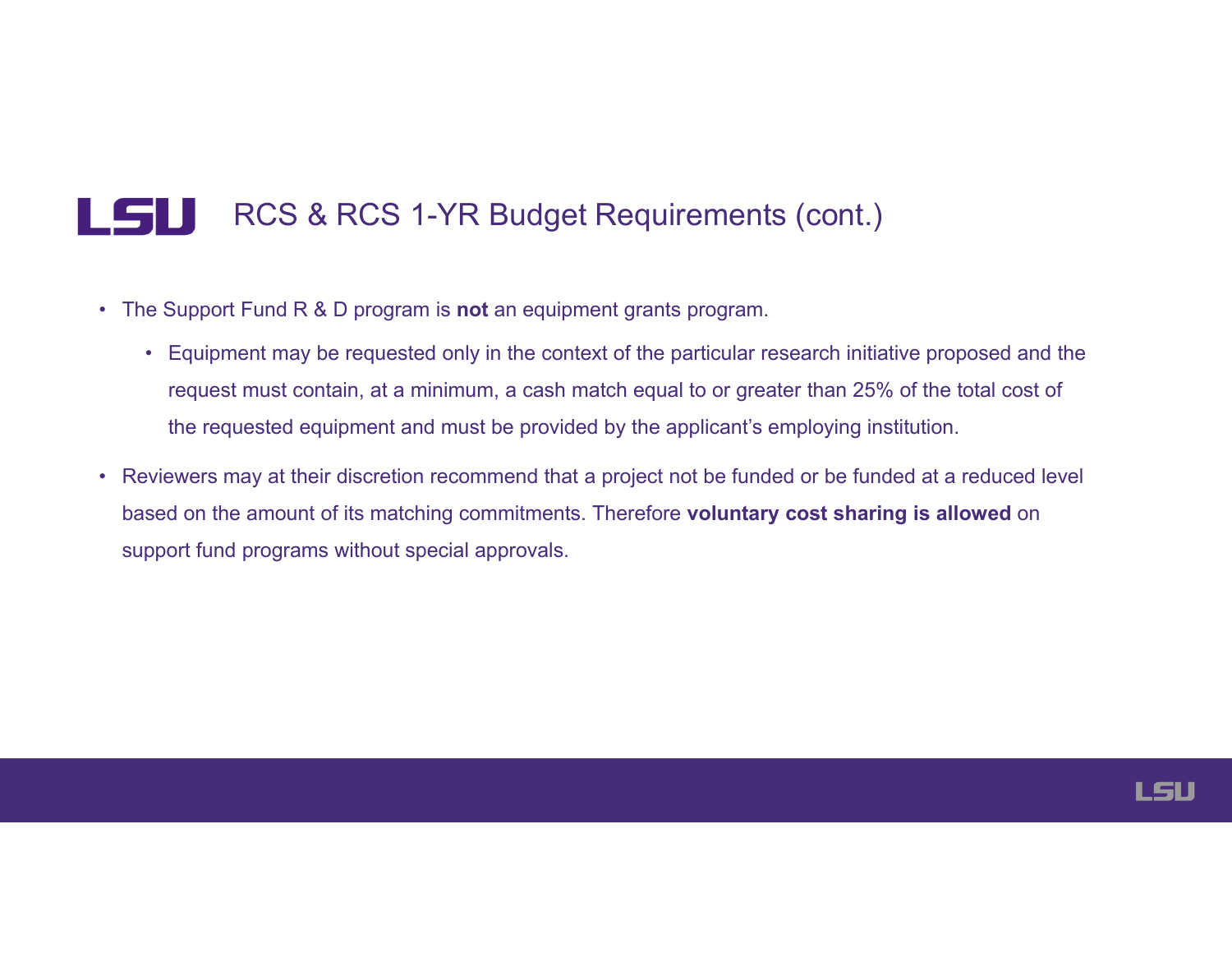#### LSU RCS & RCS 1-YR Budget Requirements (cont.)

- The Support Fund R & D program is **not** an equipment grants program.
	- Equipment may be requested only in the context of the particular research initiative proposed and the request must contain, at a minimum, a cash match equal to or greater than 25% of the total cost of the requested equipment and must be provided by the applicant's employing institution.
- Reviewers may at their discretion recommend that a project not be funded or be funded at a reduced level based on the amount of its matching commitments. Therefore **voluntary cost sharing is allowed** on support fund programs without special approvals.

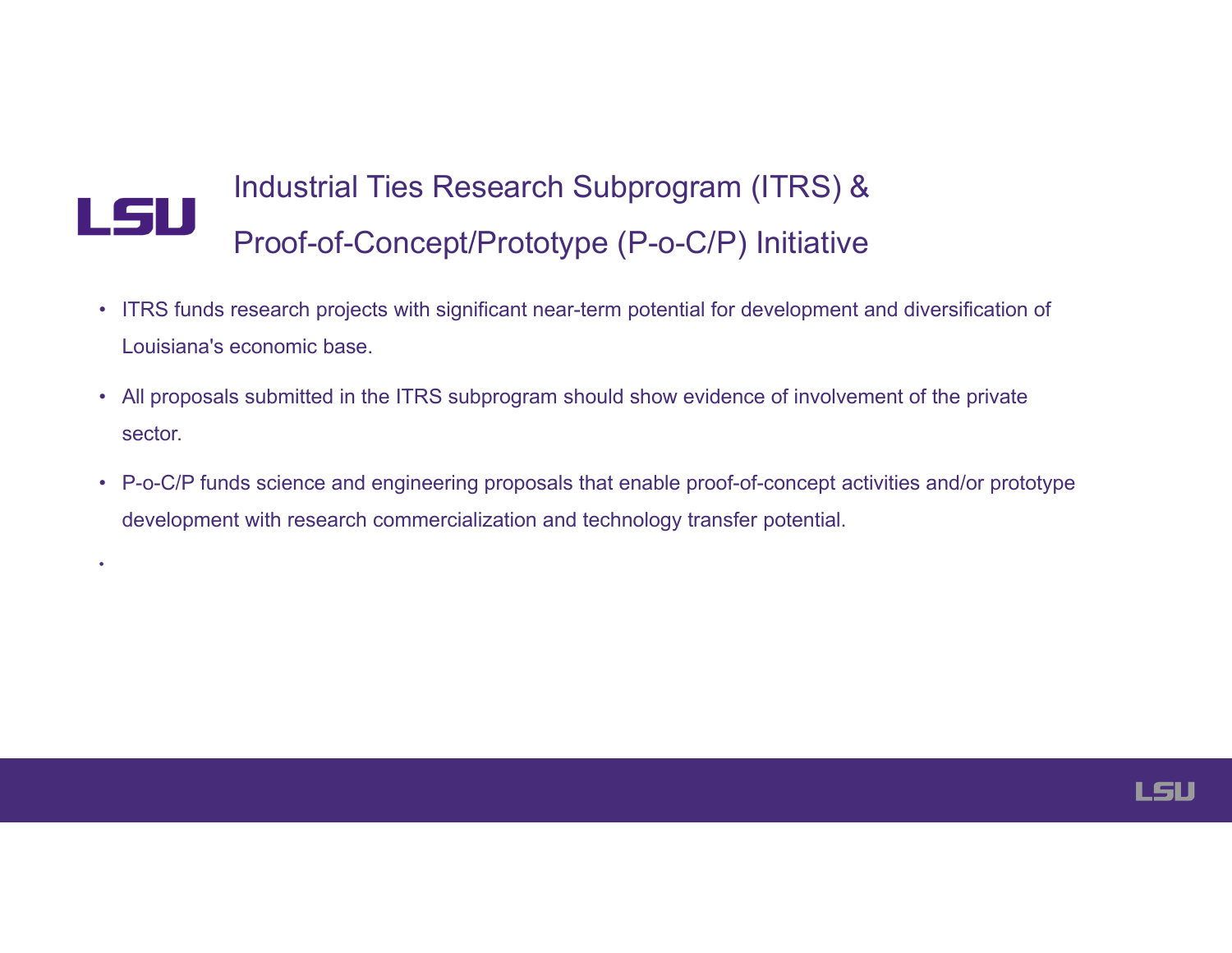# LSU Industrial Ties Research Subprogram (ITRS) & Proof-of-Concept/Prototype (P-o-C/P) Initiative

•

- ITRS funds research projects with significant near-term potential for development and diversification of Louisiana's economic base.
- All proposals submitted in the ITRS subprogram should show evidence of involvement of the private sector.
- P-o-C/P funds science and engineering proposals that enable proof-of-concept activities and/or prototype development with research commercialization and technology transfer potential.

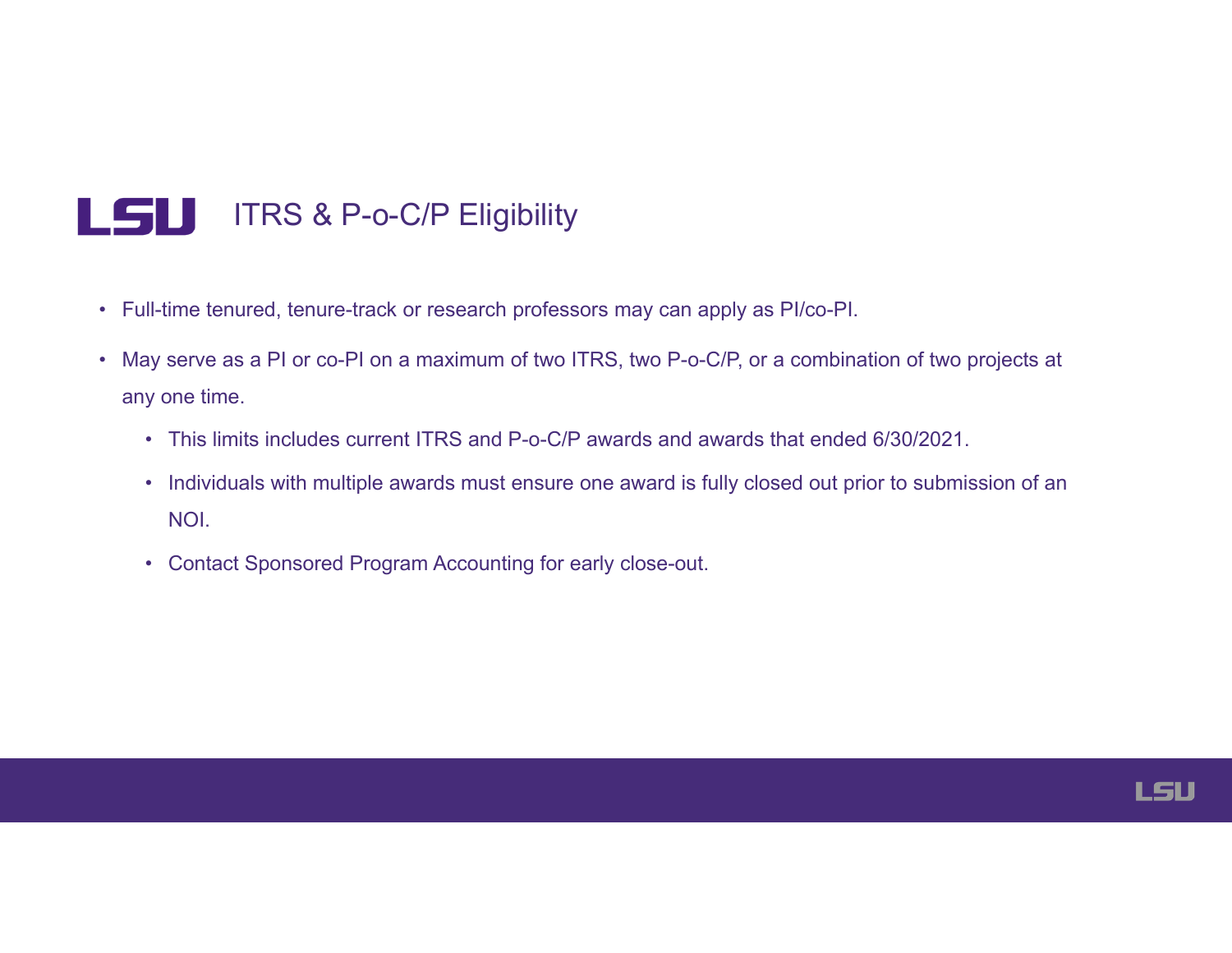### LSU ITRS & P-o-C/P Eligibility

- Full-time tenured, tenure-track or research professors may can apply as PI/co-PI.
- May serve as a PI or co-PI on a maximum of two ITRS, two P-o-C/P, or a combination of two projects at any one time.
	- This limits includes current ITRS and P-o-C/P awards and awards that ended 6/30/2021.
	- Individuals with multiple awards must ensure one award is fully closed out prior to submission of an NOI.
	- Contact Sponsored Program Accounting for early close-out.

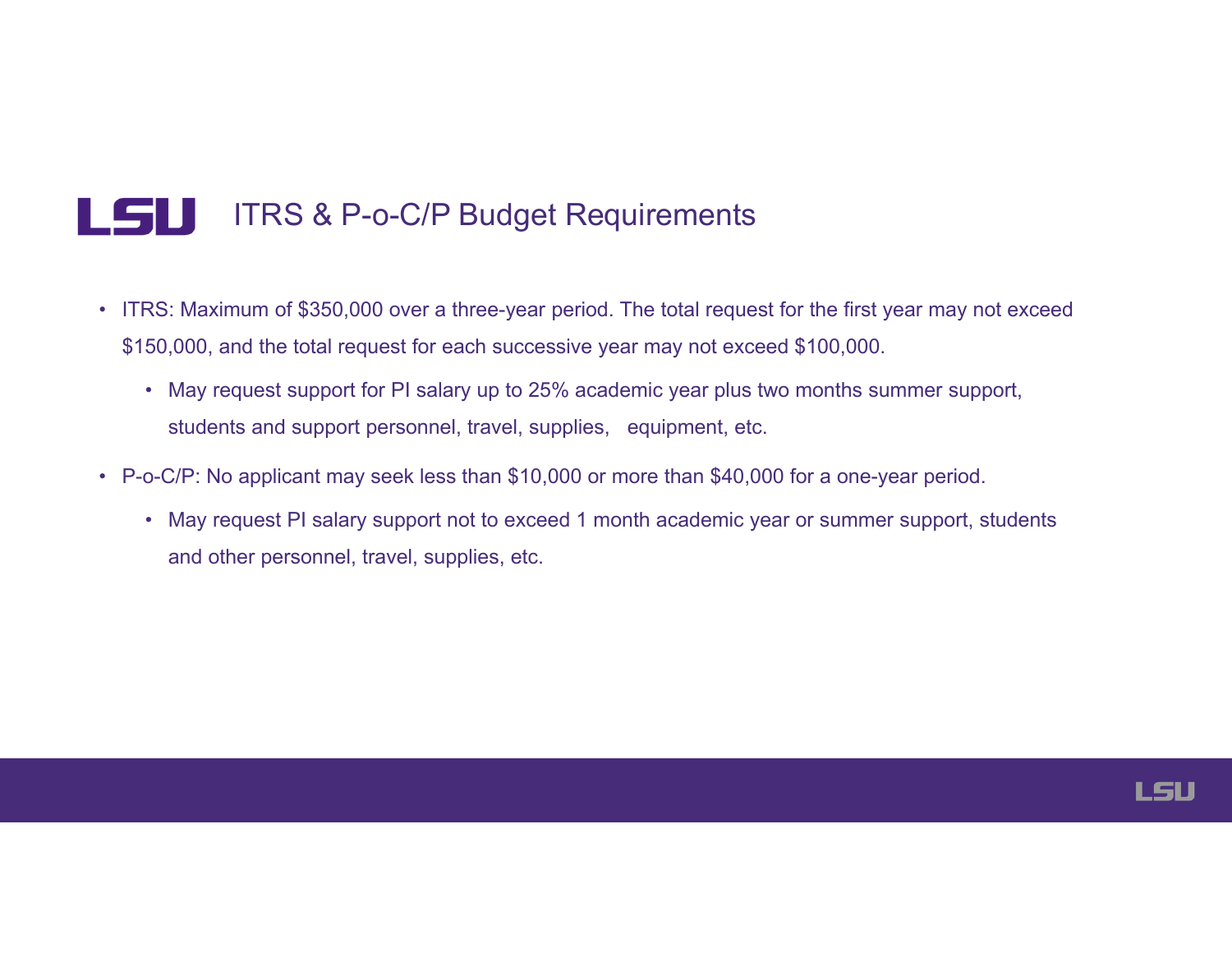#### LSU ITRS & P-o-C/P Budget Requirements

- ITRS: Maximum of \$350,000 over a three-year period. The total request for the first year may not exceed \$150,000, and the total request for each successive year may not exceed \$100,000.
	- May request support for PI salary up to 25% academic year plus two months summer support, students and support personnel, travel, supplies, equipment, etc.
- P-o-C/P: No applicant may seek less than \$10,000 or more than \$40,000 for a one-year period.
	- May request PI salary support not to exceed 1 month academic year or summer support, students and other personnel, travel, supplies, etc.

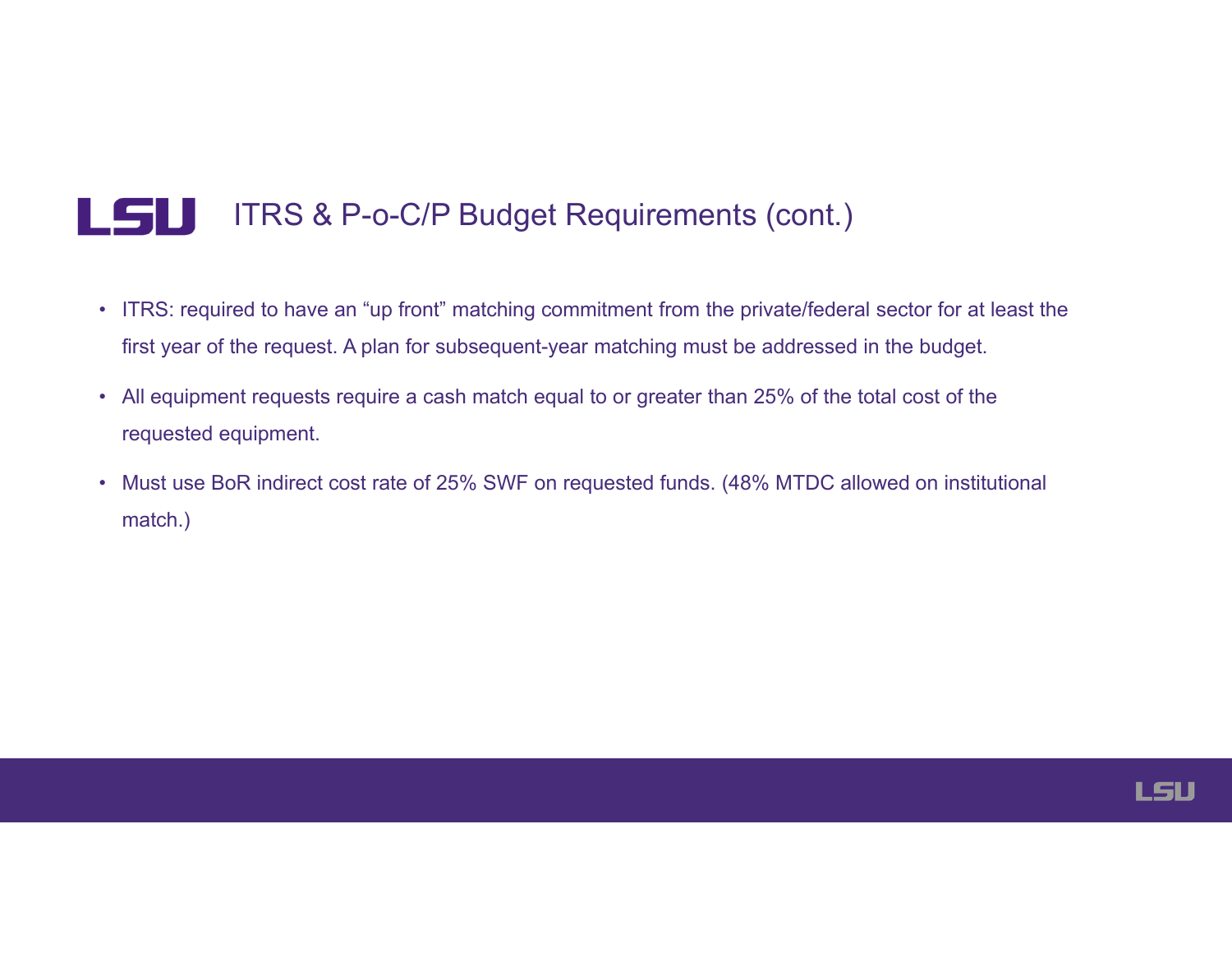#### LSU ITRS & P-o-C/P Budget Requirements (cont.)

- ITRS: required to have an "up front" matching commitment from the private/federal sector for at least the first year of the request. A plan for subsequent-year matching must be addressed in the budget.
- All equipment requests require a cash match equal to or greater than 25% of the total cost of the requested equipment.
- Must use BoR indirect cost rate of 25% SWF on requested funds. (48% MTDC allowed on institutional match.)

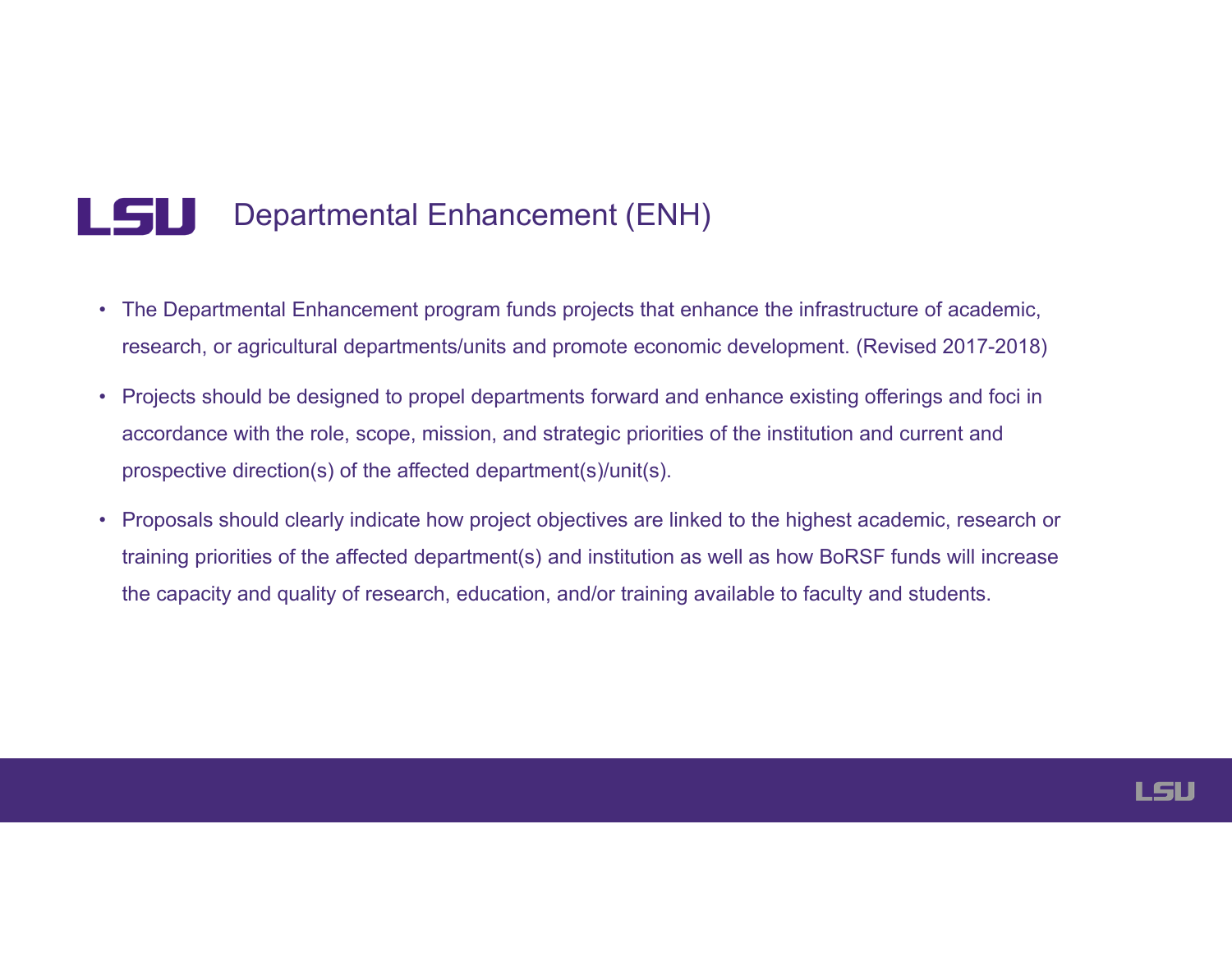#### LSU Departmental Enhancement (ENH)

- The Departmental Enhancement program funds projects that enhance the infrastructure of academic, research, or agricultural departments/units and promote economic development. (Revised 2017-2018)
- Projects should be designed to propel departments forward and enhance existing offerings and foci in accordance with the role, scope, mission, and strategic priorities of the institution and current and prospective direction(s) of the affected department(s)/unit(s).
- Proposals should clearly indicate how project objectives are linked to the highest academic, research or training priorities of the affected department(s) and institution as well as how BoRSF funds will increase the capacity and quality of research, education, and/or training available to faculty and students.

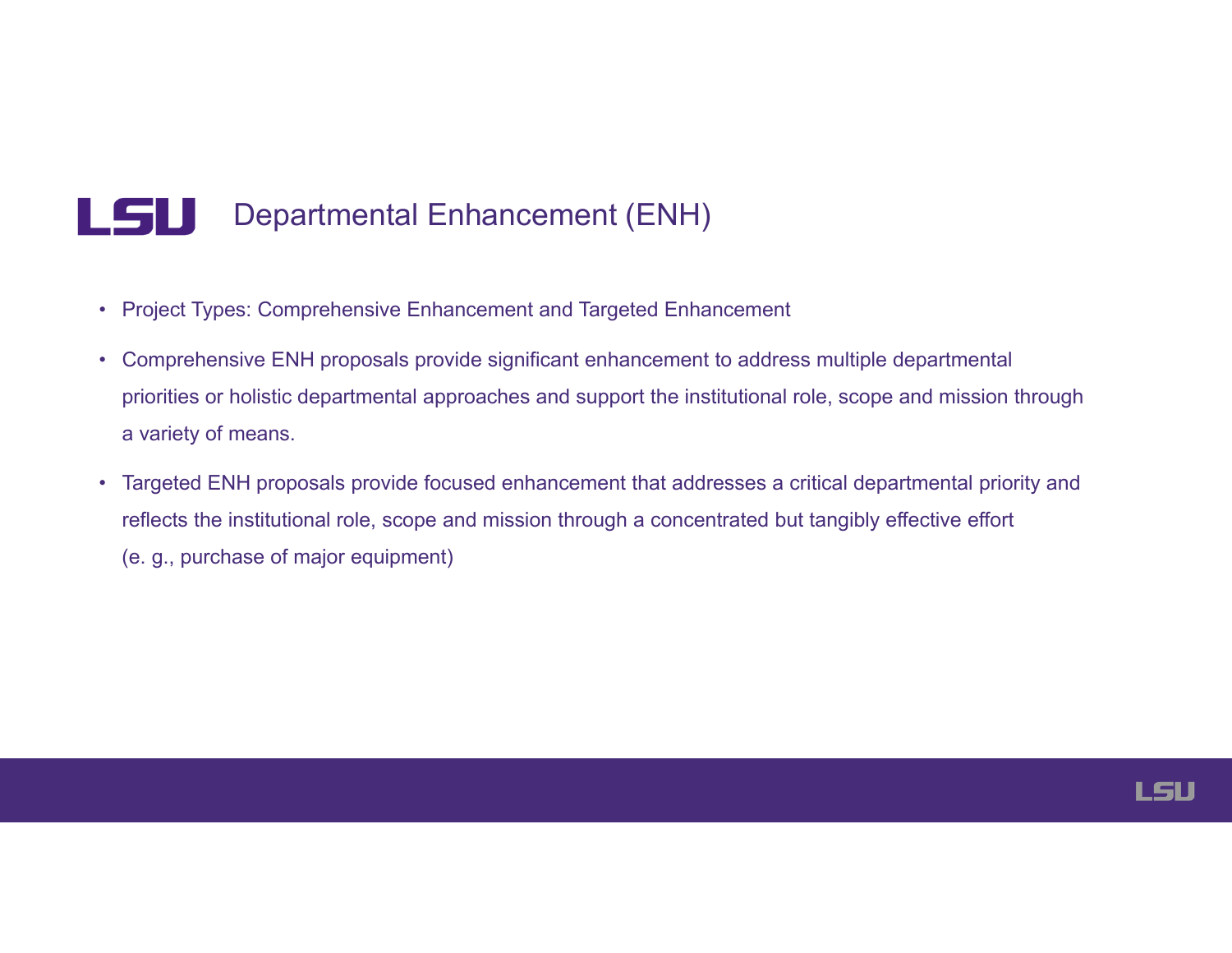#### LSU Departmental Enhancement (ENH)

- Project Types: Comprehensive Enhancement and Targeted Enhancement
- Comprehensive ENH proposals provide significant enhancement to address multiple departmental priorities or holistic departmental approaches and support the institutional role, scope and mission through a variety of means.
- Targeted ENH proposals provide focused enhancement that addresses a critical departmental priority and reflects the institutional role, scope and mission through a concentrated but tangibly effective effort (e. g., purchase of major equipment)

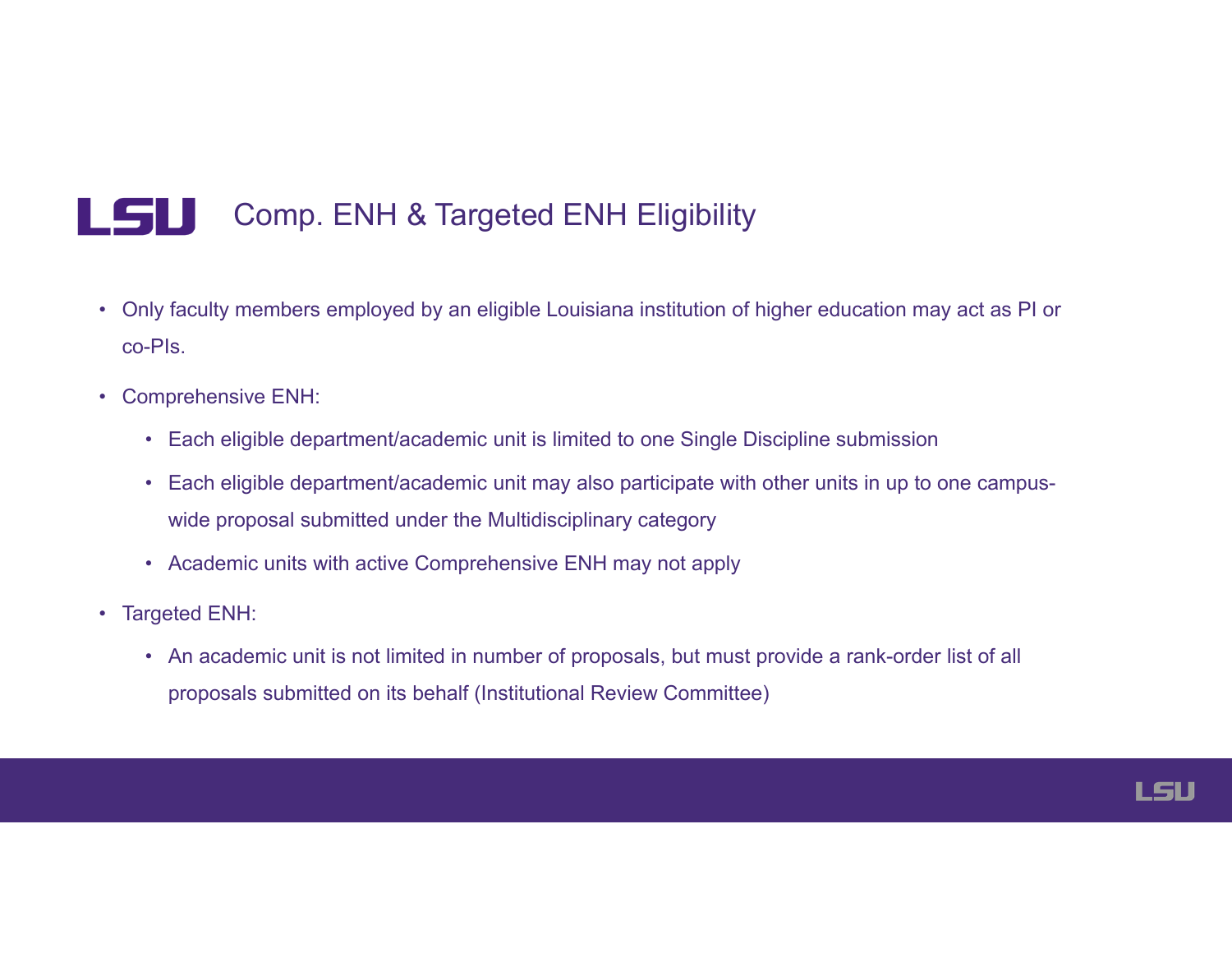#### LSU Comp. ENH & Targeted ENH Eligibility

- Only faculty members employed by an eligible Louisiana institution of higher education may act as PI or co-PIs.
- Comprehensive ENH:
	- Each eligible department/academic unit is limited to one Single Discipline submission
	- Each eligible department/academic unit may also participate with other units in up to one campuswide proposal submitted under the Multidisciplinary category
	- Academic units with active Comprehensive ENH may not apply
- Targeted ENH:
	- An academic unit is not limited in number of proposals, but must provide a rank-order list of all proposals submitted on its behalf (Institutional Review Committee)

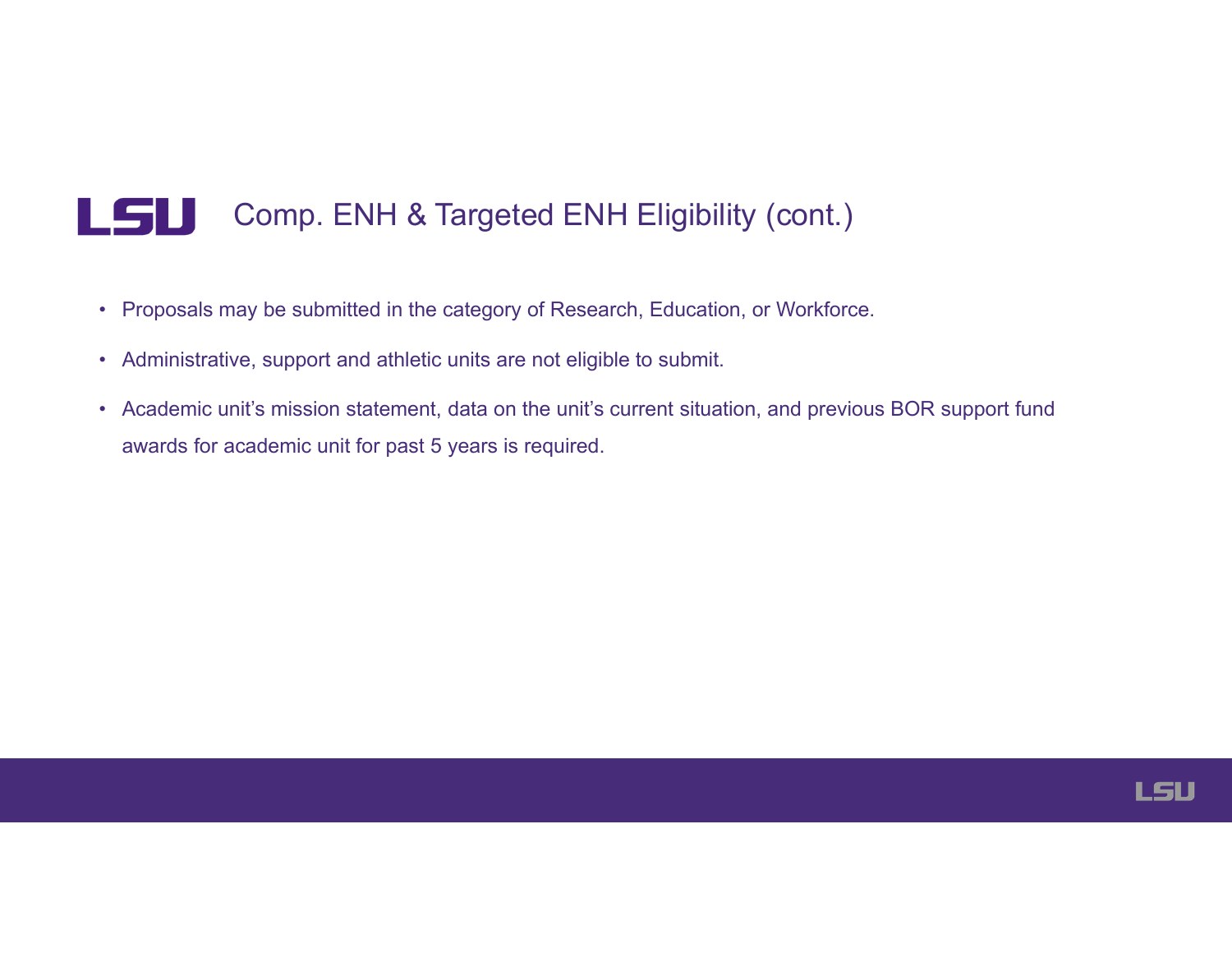#### LSU Comp. ENH & Targeted ENH Eligibility (cont.)

- Proposals may be submitted in the category of Research, Education, or Workforce.
- Administrative, support and athletic units are not eligible to submit.
- Academic unit's mission statement, data on the unit's current situation, and previous BOR support fund awards for academic unit for past 5 years is required.

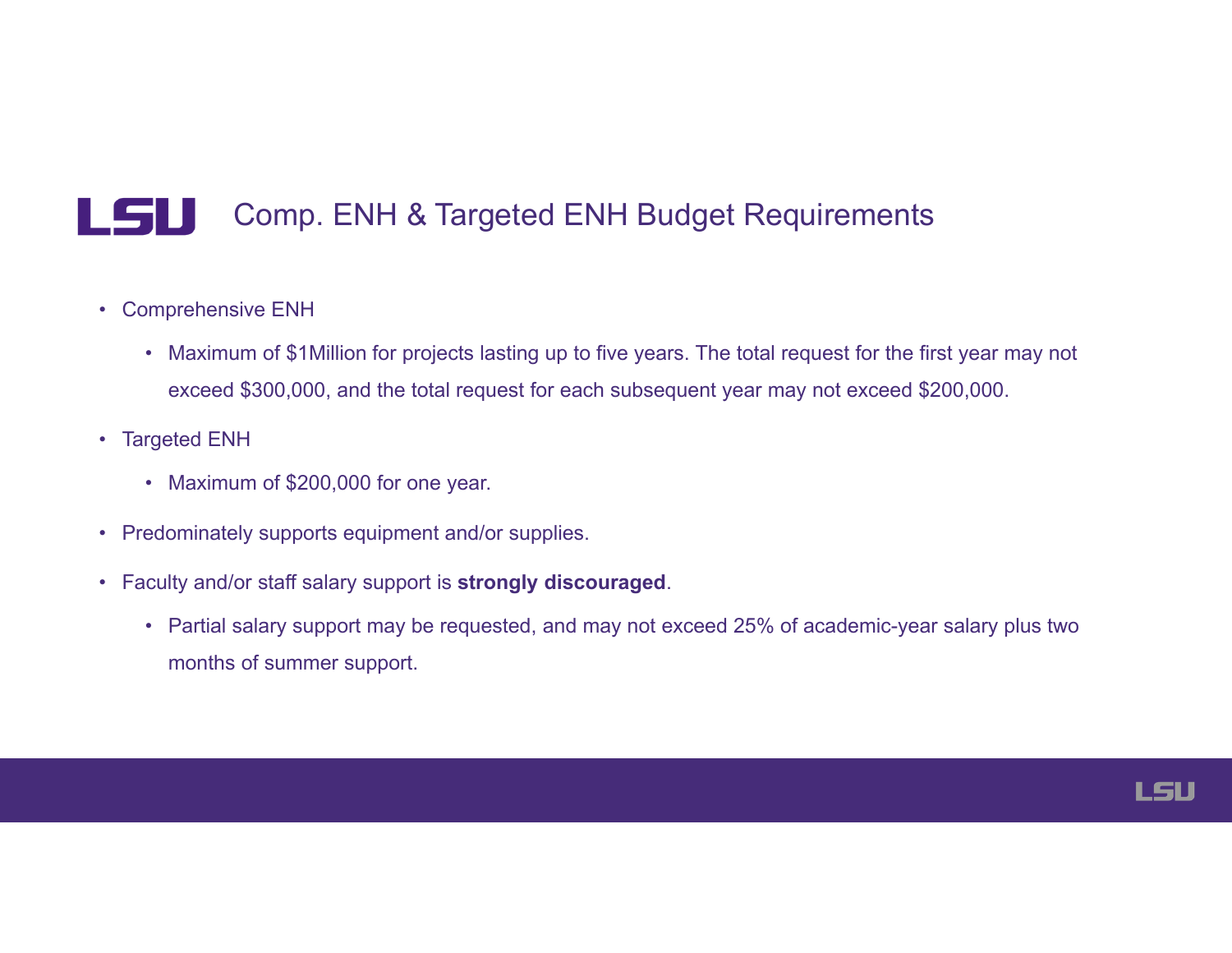#### LSU Comp. ENH & Targeted ENH Budget Requirements

- Comprehensive ENH
	- Maximum of \$1Million for projects lasting up to five years. The total request for the first year may not exceed \$300,000, and the total request for each subsequent year may not exceed \$200,000.
- Targeted ENH
	- Maximum of \$200,000 for one year.
- Predominately supports equipment and/or supplies.
- Faculty and/or staff salary support is **strongly discouraged**.
	- Partial salary support may be requested, and may not exceed 25% of academic-year salary plus two months of summer support.

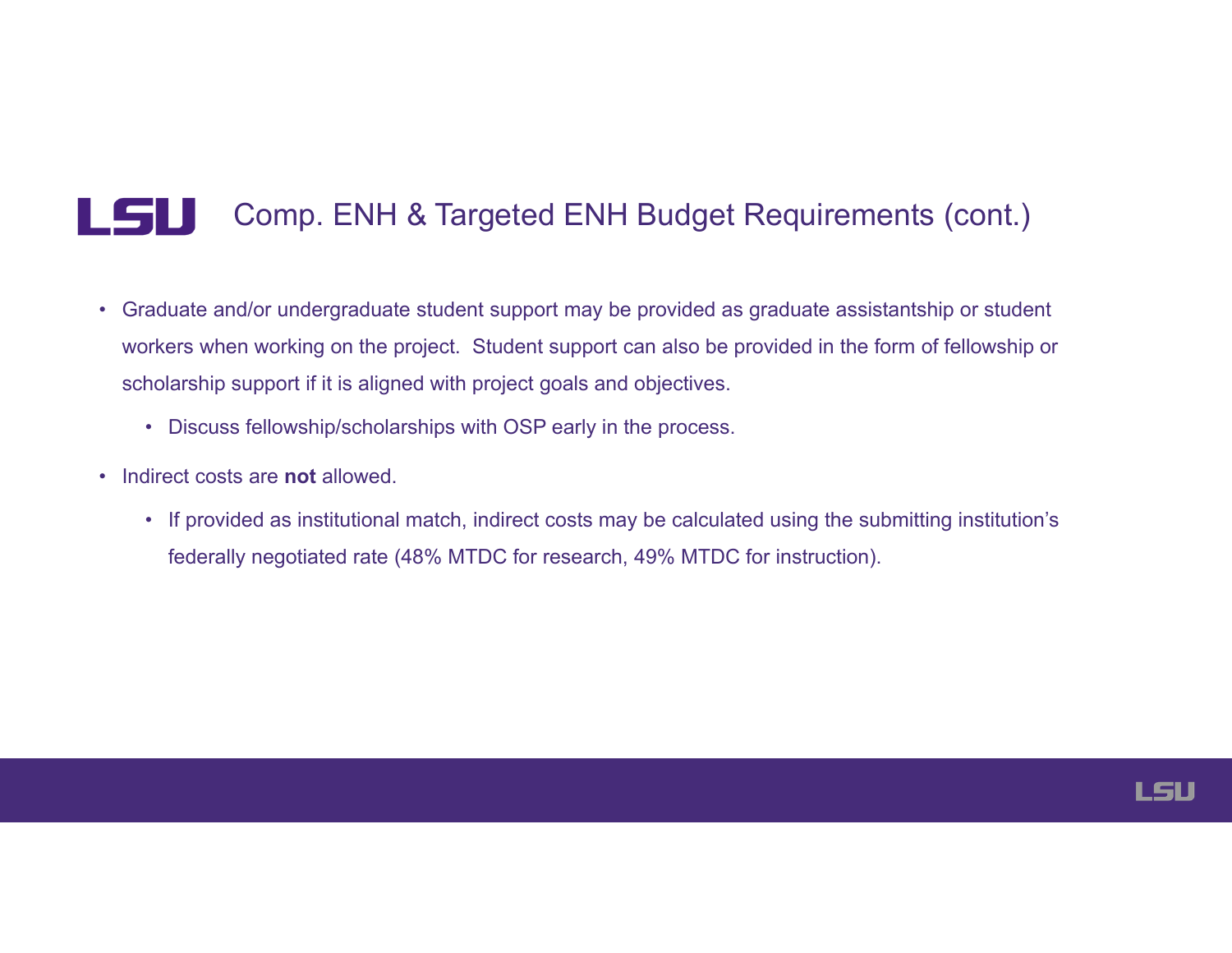#### LSU Comp. ENH & Targeted ENH Budget Requirements (cont.)

- Graduate and/or undergraduate student support may be provided as graduate assistantship or student workers when working on the project. Student support can also be provided in the form of fellowship or scholarship support if it is aligned with project goals and objectives.
	- Discuss fellowship/scholarships with OSP early in the process.
- Indirect costs are **not** allowed.
	- If provided as institutional match, indirect costs may be calculated using the submitting institution's federally negotiated rate (48% MTDC for research, 49% MTDC for instruction).

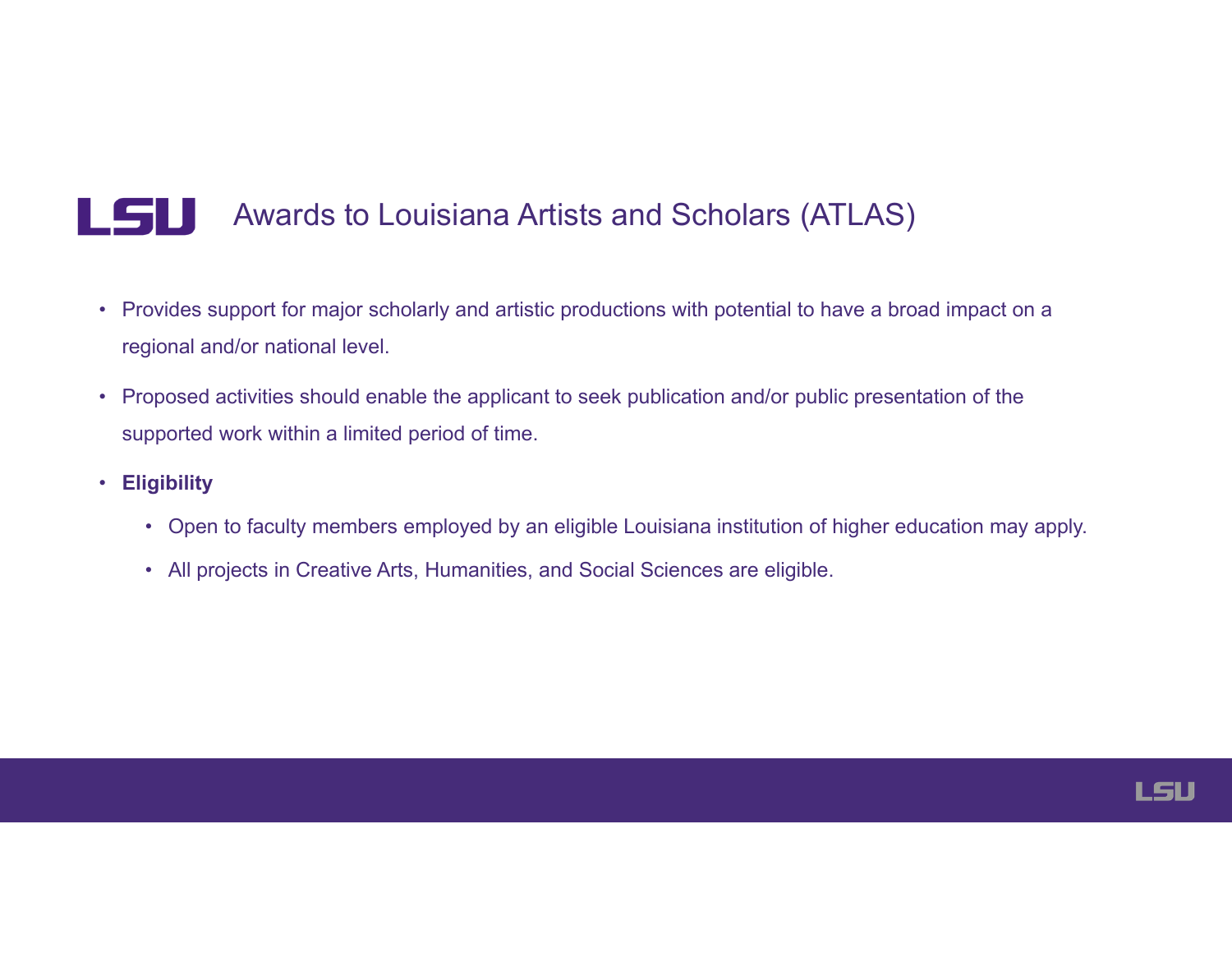#### LSU Awards to Louisiana Artists and Scholars (ATLAS)

- Provides support for major scholarly and artistic productions with potential to have a broad impact on a regional and/or national level.
- Proposed activities should enable the applicant to seek publication and/or public presentation of the supported work within a limited period of time.
- **Eligibility** 
	- Open to faculty members employed by an eligible Louisiana institution of higher education may apply.
	- All projects in Creative Arts, Humanities, and Social Sciences are eligible.

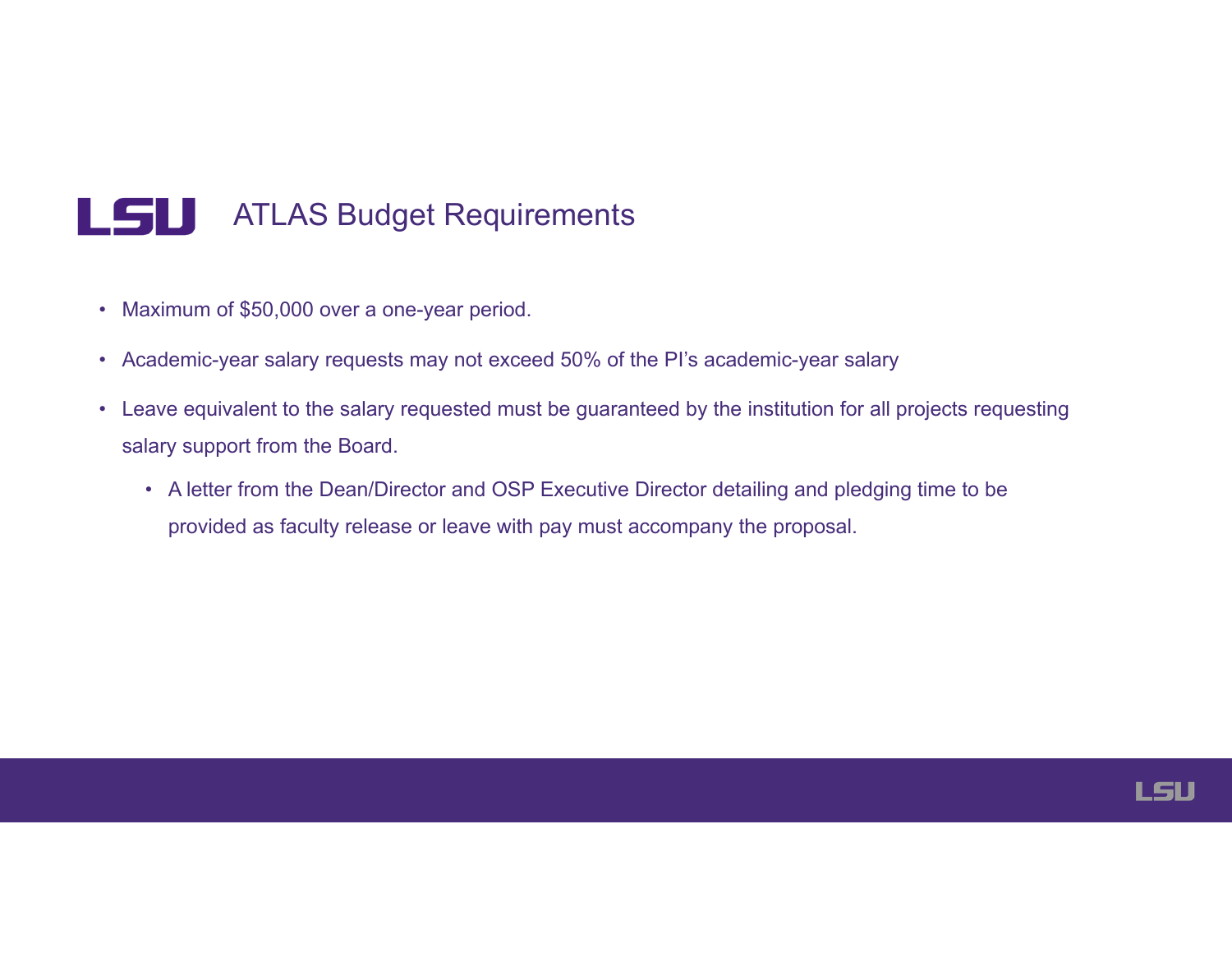#### LSU ATLAS Budget Requirements

- Maximum of \$50,000 over a one-year period.
- Academic-year salary requests may not exceed 50% of the PI's academic-year salary
- Leave equivalent to the salary requested must be guaranteed by the institution for all projects requesting salary support from the Board.
	- A letter from the Dean/Director and OSP Executive Director detailing and pledging time to be provided as faculty release or leave with pay must accompany the proposal.

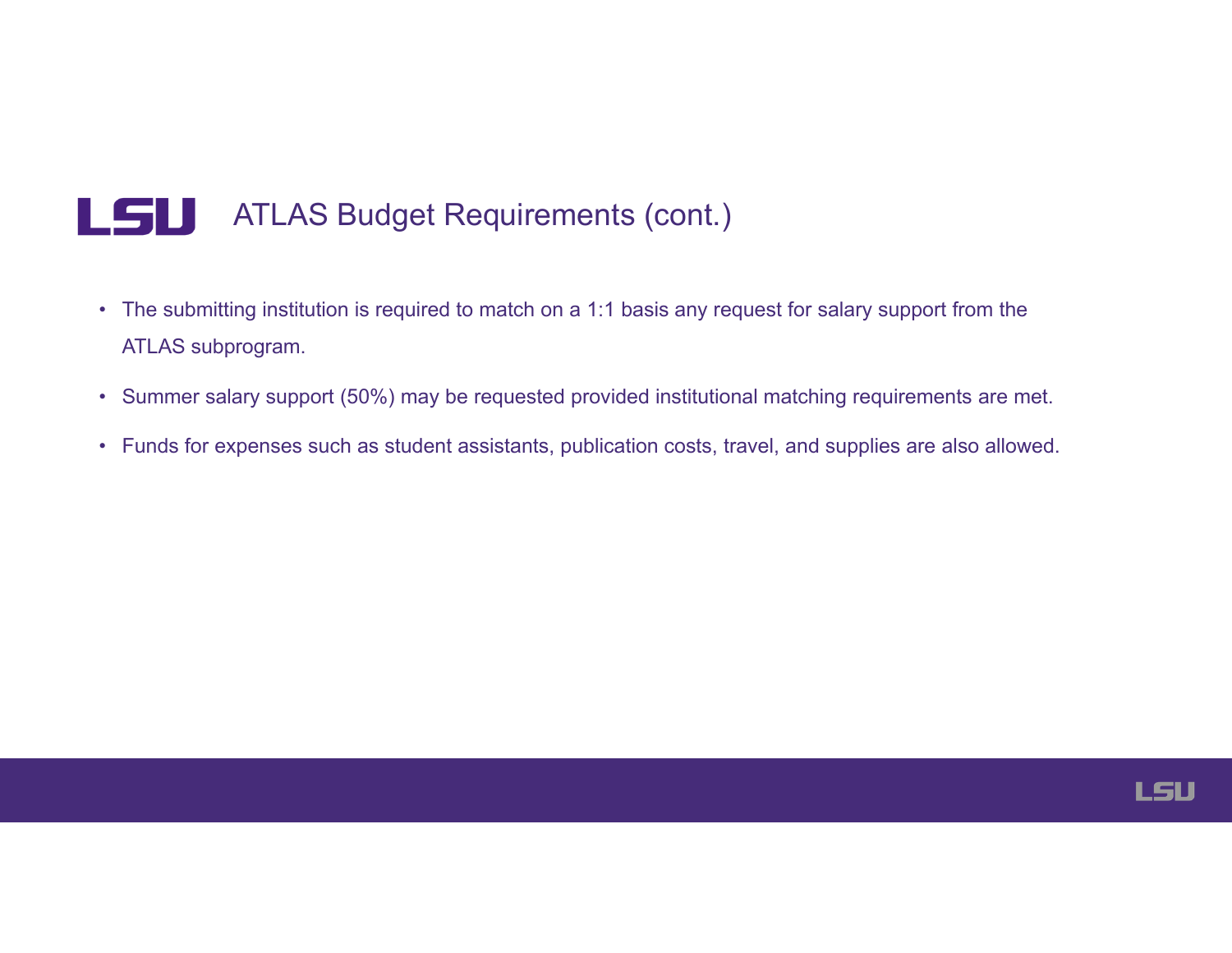#### LSU ATLAS Budget Requirements (cont.)

- The submitting institution is required to match on a 1:1 basis any request for salary support from the ATLAS subprogram.
- Summer salary support (50%) may be requested provided institutional matching requirements are met.
- Funds for expenses such as student assistants, publication costs, travel, and supplies are also allowed.

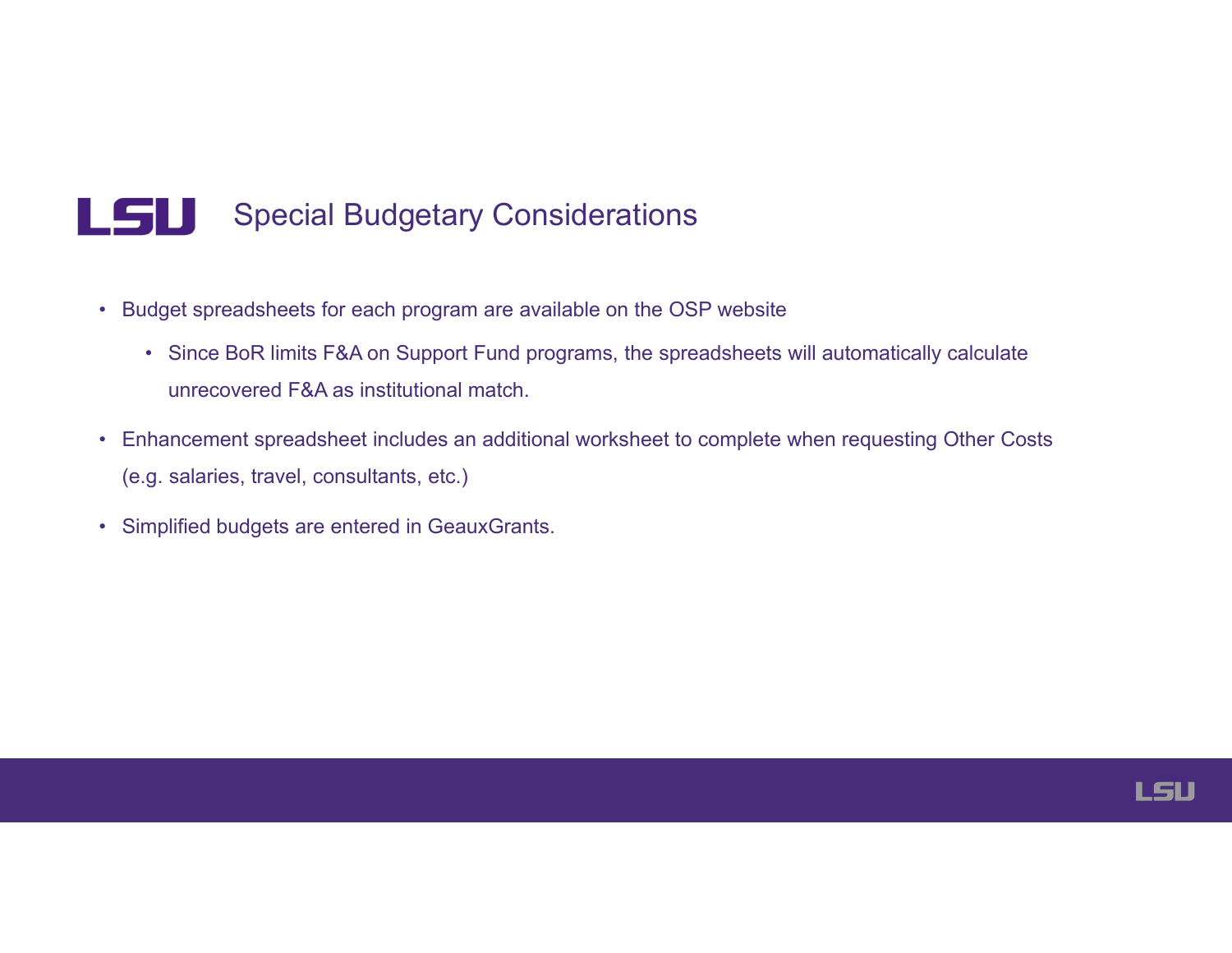#### LSU Special Budgetary Considerations

- Budget spreadsheets for each program are available on the OSP website
	- Since BoR limits F&A on Support Fund programs, the spreadsheets will automatically calculate unrecovered F&A as institutional match.
- Enhancement spreadsheet includes an additional worksheet to complete when requesting Other Costs (e.g. salaries, travel, consultants, etc.)
- Simplified budgets are entered in GeauxGrants.

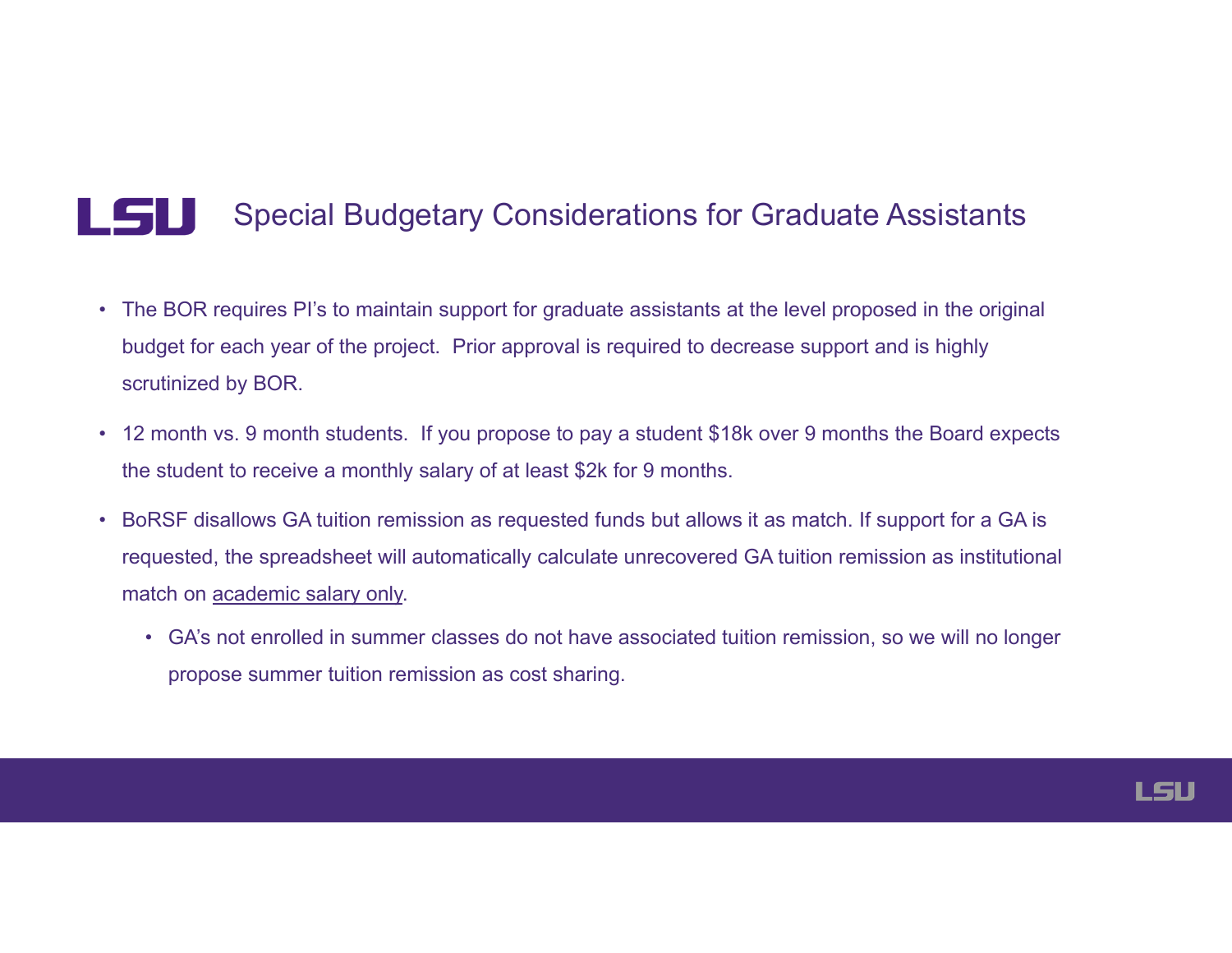#### **LSU** Special Budgetary Considerations for Graduate Assistants

- The BOR requires PI's to maintain support for graduate assistants at the level proposed in the original budget for each year of the project. Prior approval is required to decrease support and is highly scrutinized by BOR.
- 12 month vs. 9 month students. If you propose to pay a student \$18k over 9 months the Board expects the student to receive a monthly salary of at least \$2k for 9 months.
- BoRSF disallows GA tuition remission as requested funds but allows it as match. If support for a GA is requested, the spreadsheet will automatically calculate unrecovered GA tuition remission as institutional match on academic salary only.
	- GA's not enrolled in summer classes do not have associated tuition remission, so we will no longer propose summer tuition remission as cost sharing.

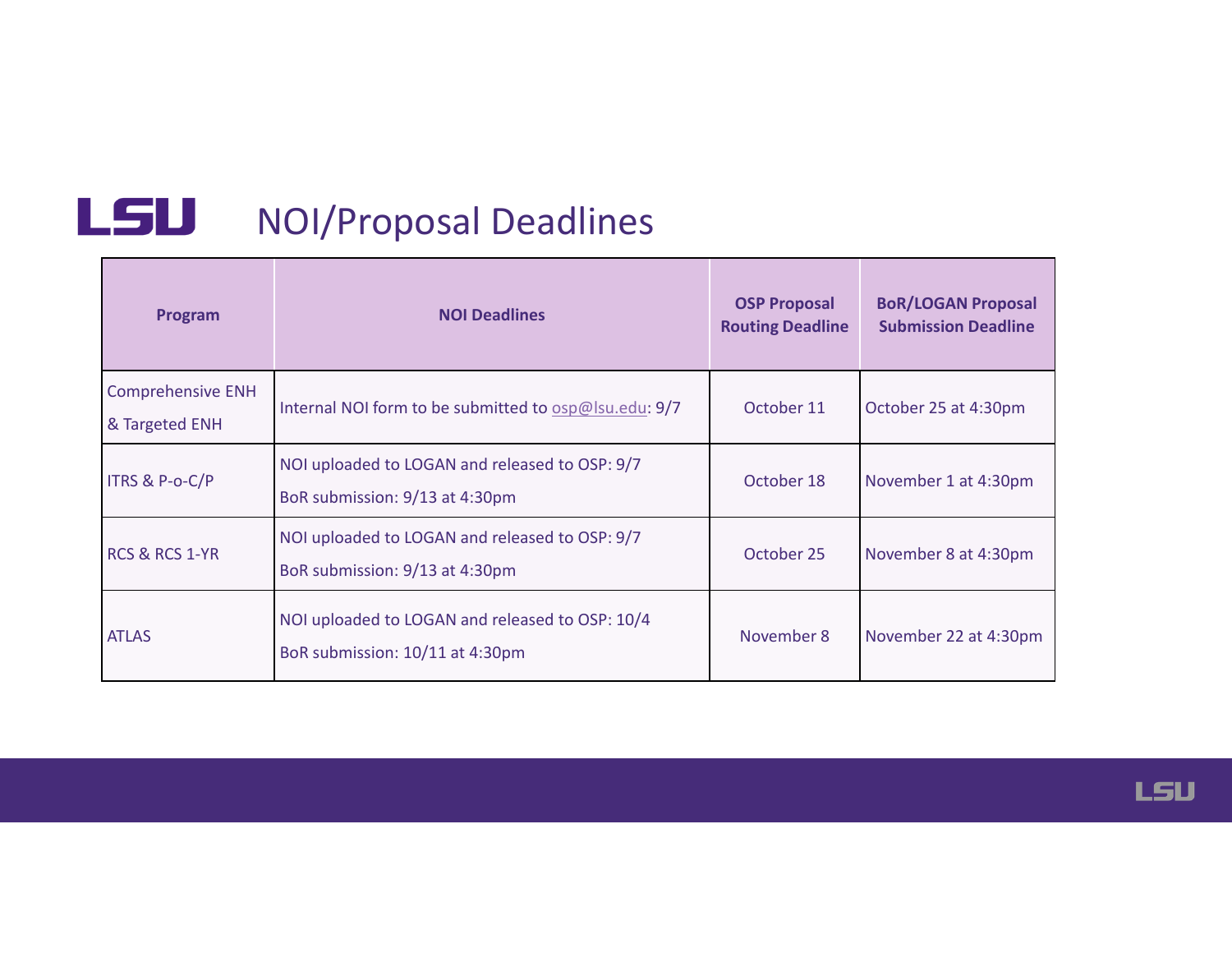## LSU NOI/Proposal Deadlines

| Program                                    | <b>NOI Deadlines</b>                                                               | <b>OSP Proposal</b><br><b>Routing Deadline</b> | <b>BoR/LOGAN Proposal</b><br><b>Submission Deadline</b> |
|--------------------------------------------|------------------------------------------------------------------------------------|------------------------------------------------|---------------------------------------------------------|
| <b>Comprehensive ENH</b><br>& Targeted ENH | Internal NOI form to be submitted to $osp@$ lsu.edu: $9/7$                         | October 11                                     | October 25 at 4:30pm                                    |
| ITRS & P-o-C/P                             | NOI uploaded to LOGAN and released to OSP: 9/7<br>BoR submission: 9/13 at 4:30pm   | October 18                                     | November 1 at 4:30pm                                    |
| <b>RCS &amp; RCS 1-YR</b>                  | NOI uploaded to LOGAN and released to OSP: 9/7<br>BoR submission: 9/13 at 4:30pm   |                                                | November 8 at 4:30pm                                    |
| <b>ATLAS</b>                               | NOI uploaded to LOGAN and released to OSP: 10/4<br>BoR submission: 10/11 at 4:30pm | November 8                                     | November 22 at 4:30pm                                   |

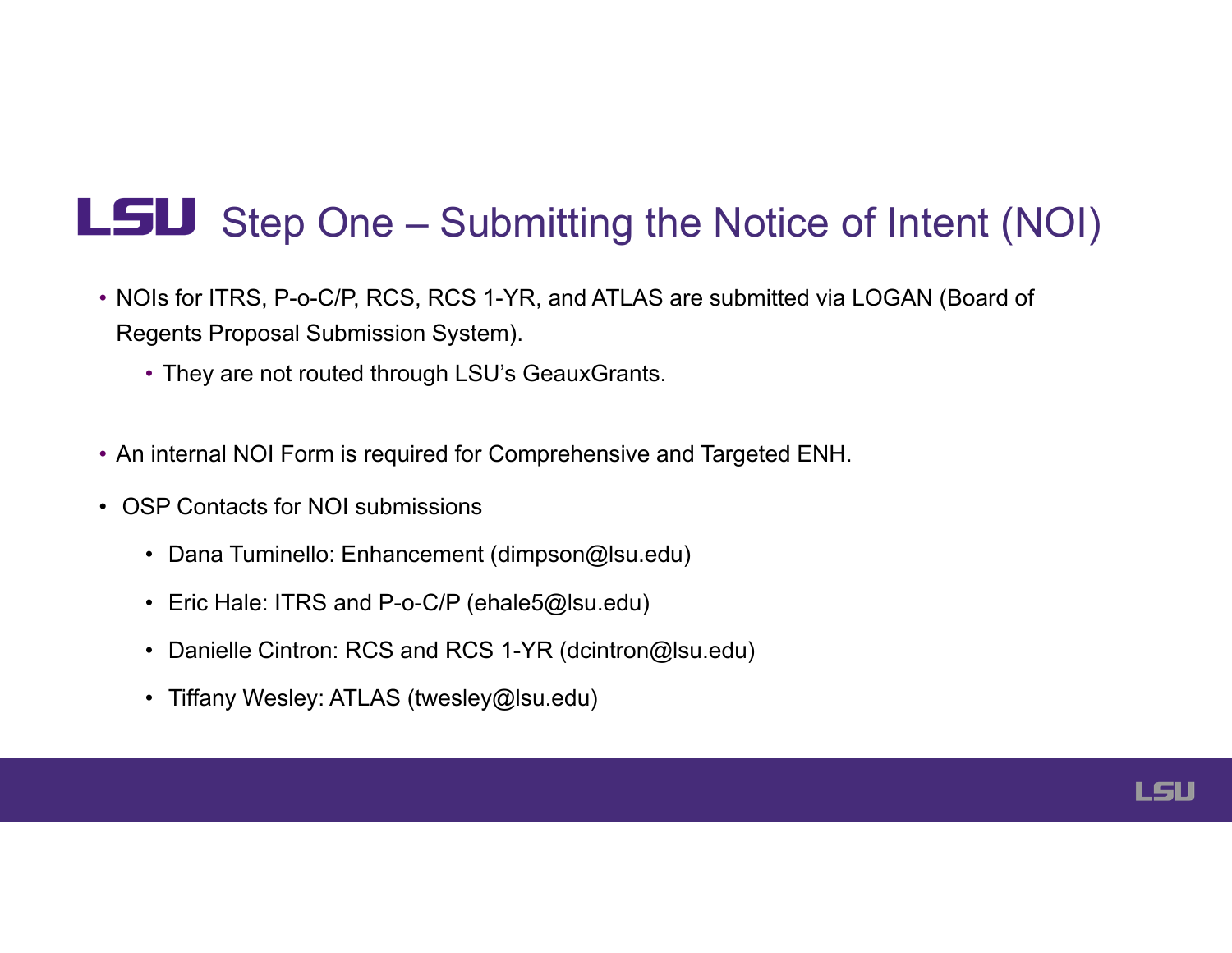## L5U Step One – Submitting the Notice of Intent (NOI)

- NOIs for ITRS, P-o-C/P, RCS, RCS 1-YR, and ATLAS are submitted via LOGAN (Board of Regents Proposal Submission System).
	- They are not routed through LSU's GeauxGrants.
- An internal NOI Form is required for Comprehensive and Targeted ENH.
- OSP Contacts for NOI submissions
	- Dana Tuminello: Enhancement ([dimpson@lsu.edu](mailto:dimpson@lsu.edu))
	- Eric Hale: ITRS and P-o-C/P ([ehale5@lsu.edu](mailto:ehale5@lsu.edu))
	- Danielle Cintron: RCS and RCS 1-YR ([dcintron@lsu.edu](mailto:dcintron@lsu.edu))
	- Tiffany Wesley: ATLAS ([twesley@lsu.edu](mailto:twesley@lsu.edu))

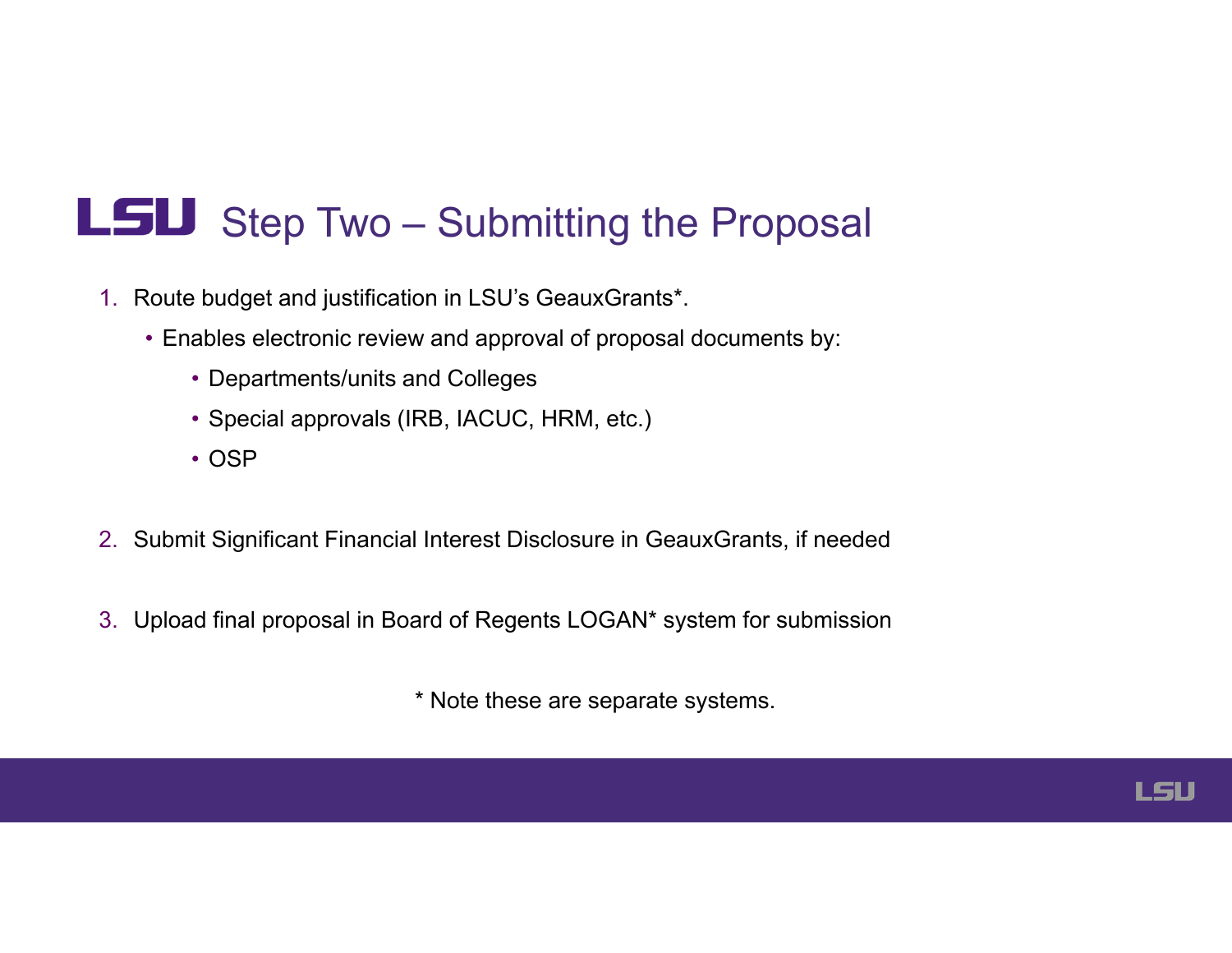## LSU Step Two - Submitting the Proposal

- 1. Route budget and justification in LSU's GeauxGrants\*.
	- Enables electronic review and approval of proposal documents by:
		- Departments/units and Colleges
		- Special approvals (IRB, IACUC, HRM, etc.)
		- OSP
- 2. Submit Significant Financial Interest Disclosure in GeauxGrants, if needed
- 3. Upload final proposal in Board of Regents LOGAN\* system for submission

\* Note these are separate systems.

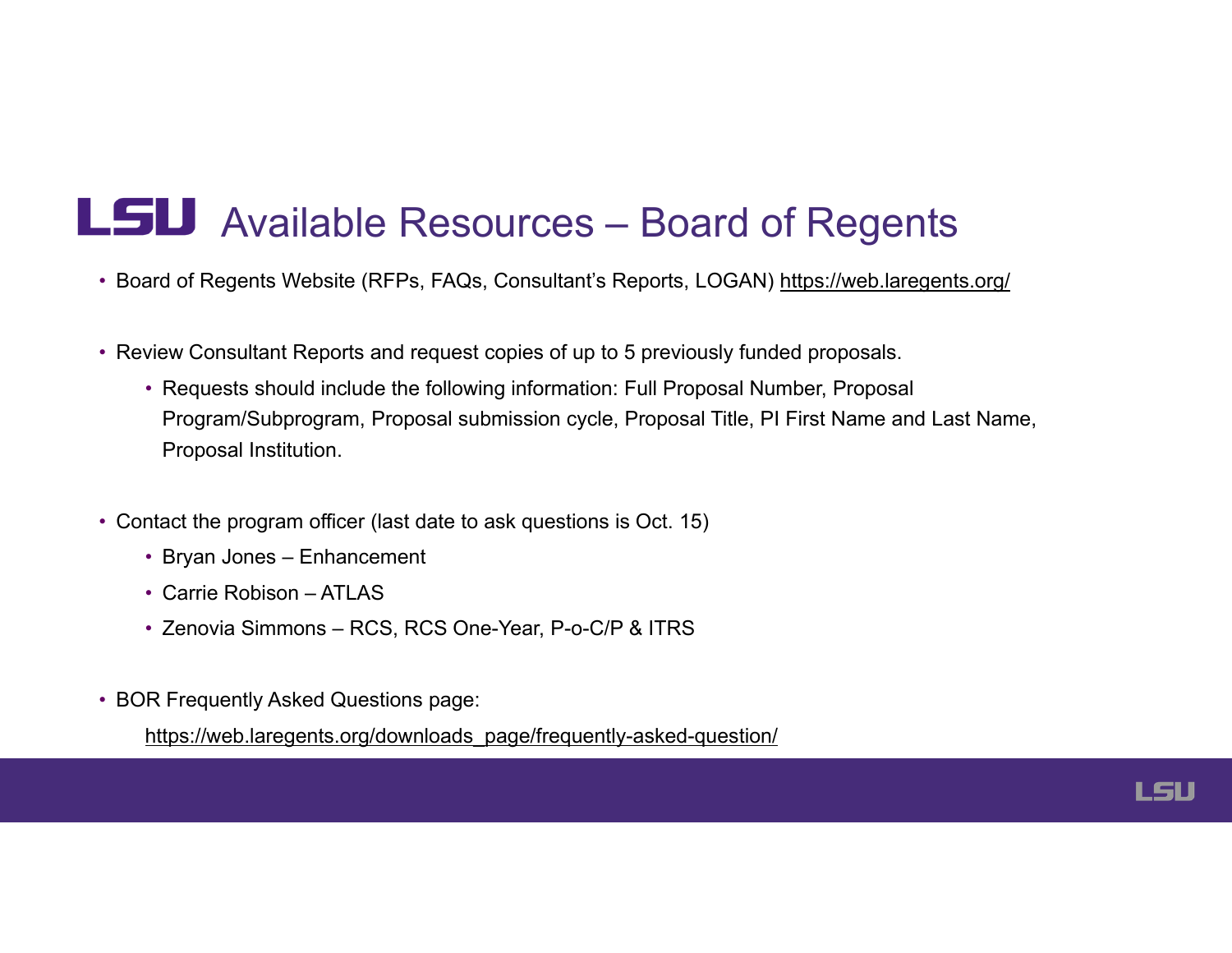## L5U Available Resources – Board of Regents

- Board of Regents Website (RFPs, FAQs, Consultant's Reports, LOGAN) [https://web.laregents.org/](https://web.laregents.org)
- Review Consultant Reports and request copies of up to 5 previously funded proposals.
	- Requests should include the following information: Full Proposal Number, Proposal Program/Subprogram, Proposal submission cycle, Proposal Title, PI First Name and Last Name, Proposal Institution.
- Contact the program officer (last date to ask questions is Oct. 15)
	- Bryan Jones Enhancement
	- Carrie Robison ATLAS
	- Zenovia Simmons RCS, RCS One-Year, P-o-C/P & ITRS
- BOR Frequently Asked Questions page:

[https://web.laregents.org/downloads\\_page/frequently-asked-question](https://web.laregents.org/downloads_page/frequently-asked-question)/

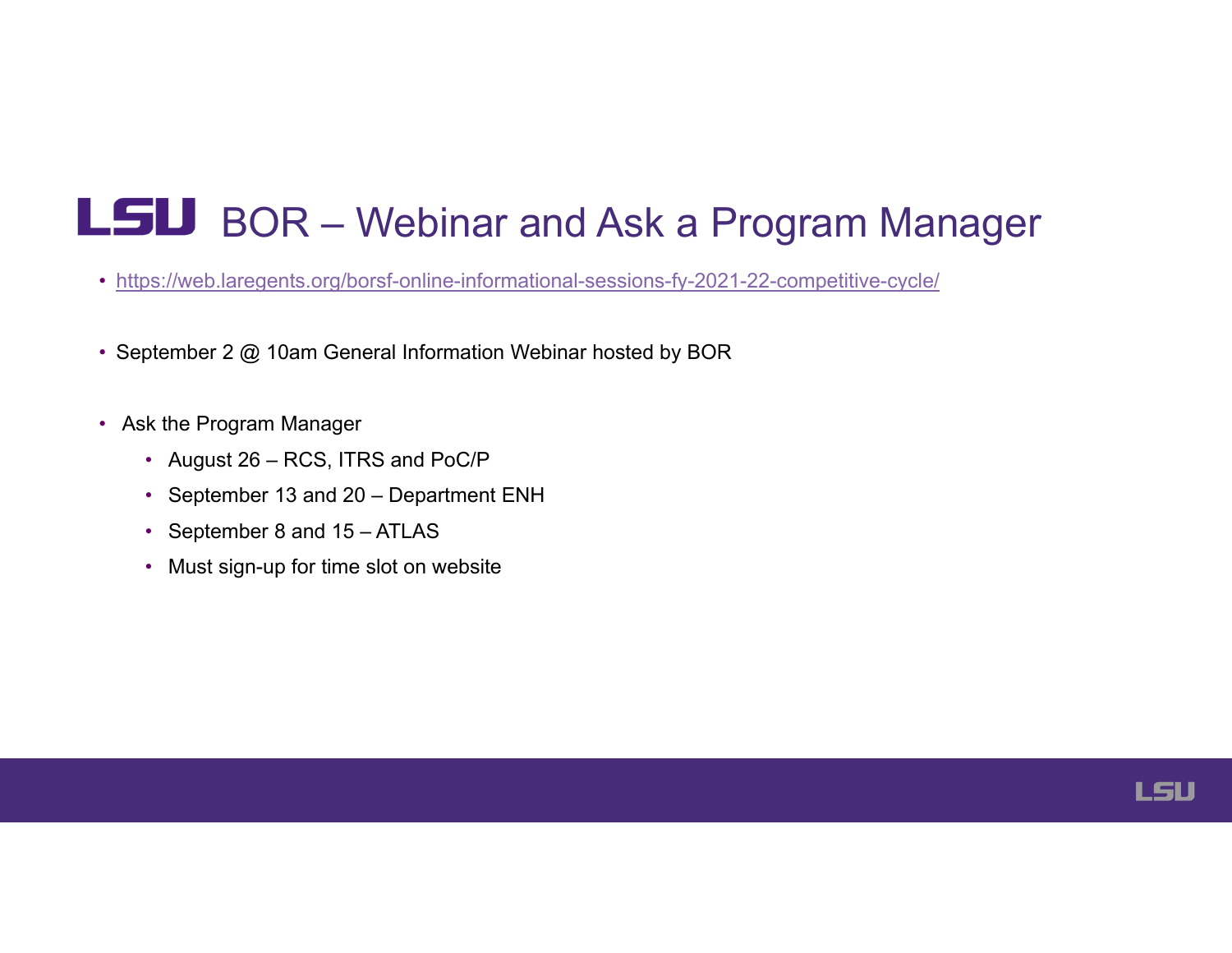## LSU BOR – Webinar and Ask a Program Manager

- <https://web.laregents.org/borsf-online-informational-sessions-fy-2021-22-competitive-cycle>/
- September 2 @ 10am General Information Webinar hosted by BOR
- Ask the Program Manager
	- August 26 RCS, ITRS and PoC/P
	- September 13 and 20 Department ENH
	- September 8 and 15 ATLAS
	- Must sign-up for time slot on website

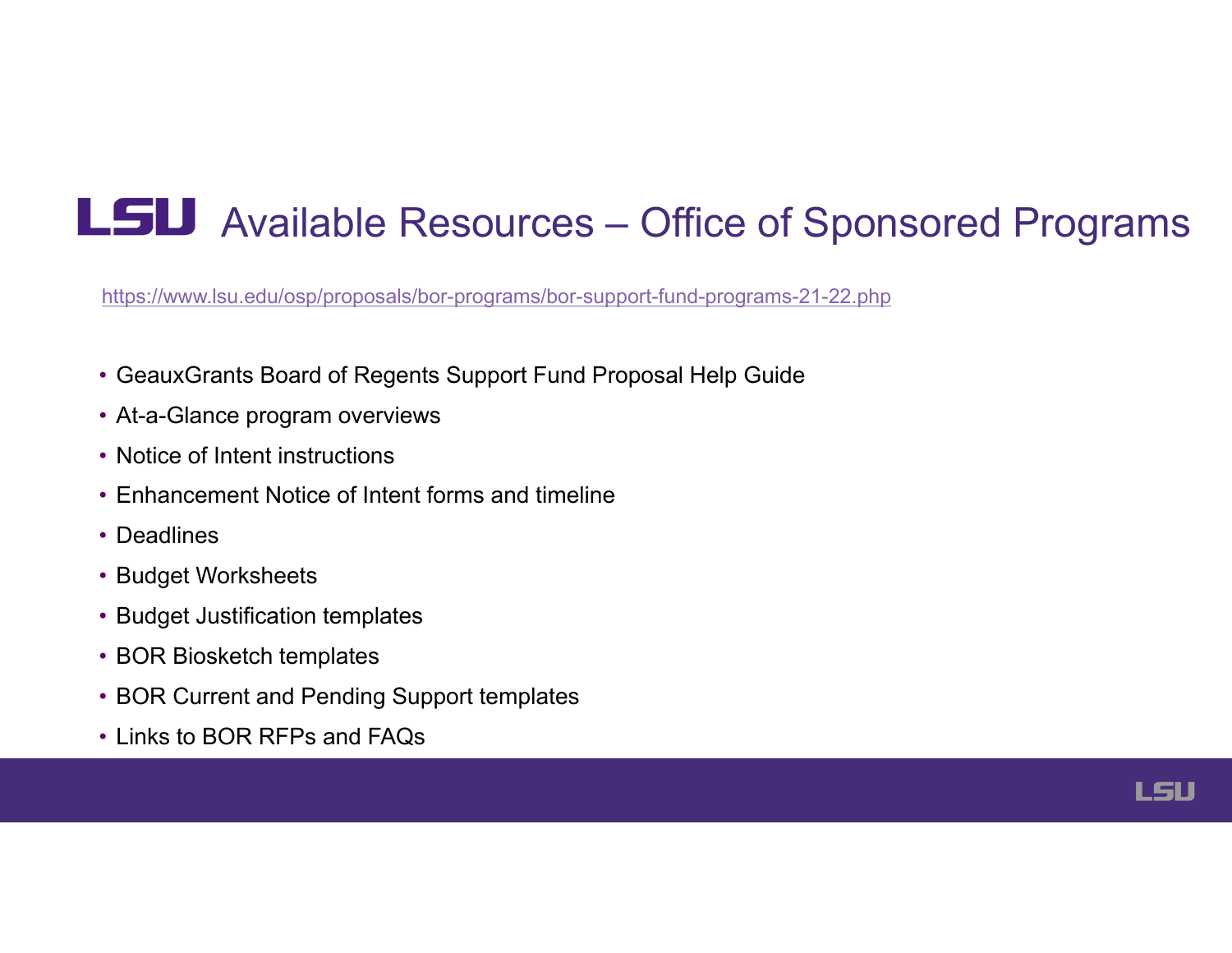## LSU Available Resources – Office of Sponsored Programs

<https://www.lsu.edu/osp/proposals/bor-programs/bor-support-fund-programs-21-22.php>

- GeauxGrants Board of Regents Support Fund Proposal Help Guide
- At-a-Glance program overviews
- Notice of Intent instructions
- Enhancement Notice of Intent forms and timeline
- Deadlines
- Budget Worksheets
- Budget Justification templates
- BOR Biosketch templates
- BOR Current and Pending Support templates
- Links to BOR RFPs and FAQs

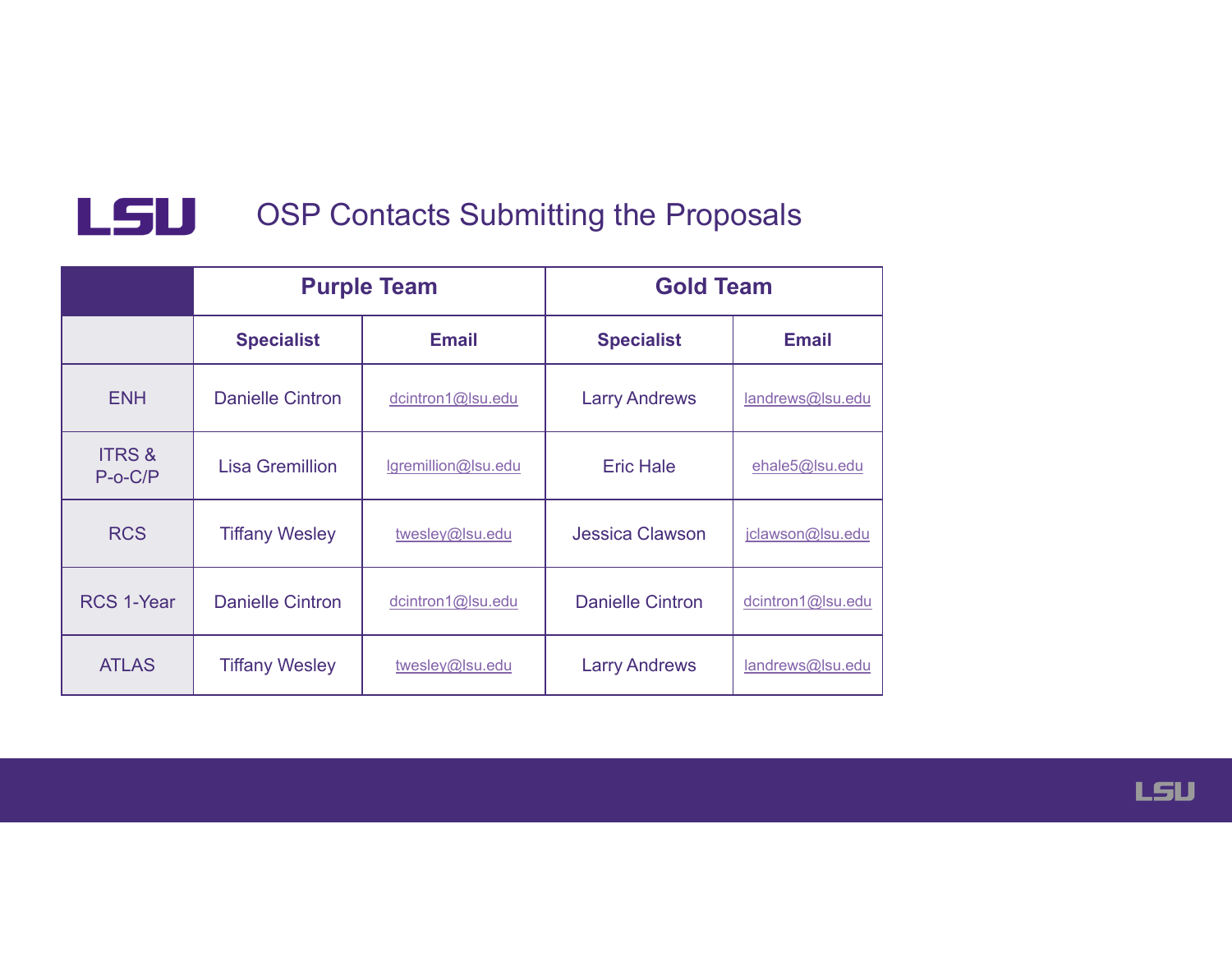

#### **LSU** OSP Contacts Submitting the Proposals

|                                | <b>Purple Team</b>      |                     | <b>Gold Team</b>        |                   |
|--------------------------------|-------------------------|---------------------|-------------------------|-------------------|
|                                | <b>Specialist</b>       | <b>Email</b>        | <b>Specialist</b>       | <b>Email</b>      |
| <b>ENH</b>                     | <b>Danielle Cintron</b> | dcintron1@lsu.edu   | <b>Larry Andrews</b>    | landrews@lsu.edu  |
| <b>ITRS &amp;</b><br>$P-O-C/P$ | <b>Lisa Gremillion</b>  | lgremillion@lsu.edu | <b>Eric Hale</b>        | ehale5@lsu.edu    |
| <b>RCS</b>                     | <b>Tiffany Wesley</b>   | twesley@lsu.edu     | <b>Jessica Clawson</b>  | jclawson@lsu.edu  |
| <b>RCS 1-Year</b>              | <b>Danielle Cintron</b> | dcintron1@lsu.edu   | <b>Danielle Cintron</b> | dcintron1@lsu.edu |
| <b>ATLAS</b>                   | <b>Tiffany Wesley</b>   | twesley@lsu.edu     | <b>Larry Andrews</b>    | landrews@lsu.edu  |